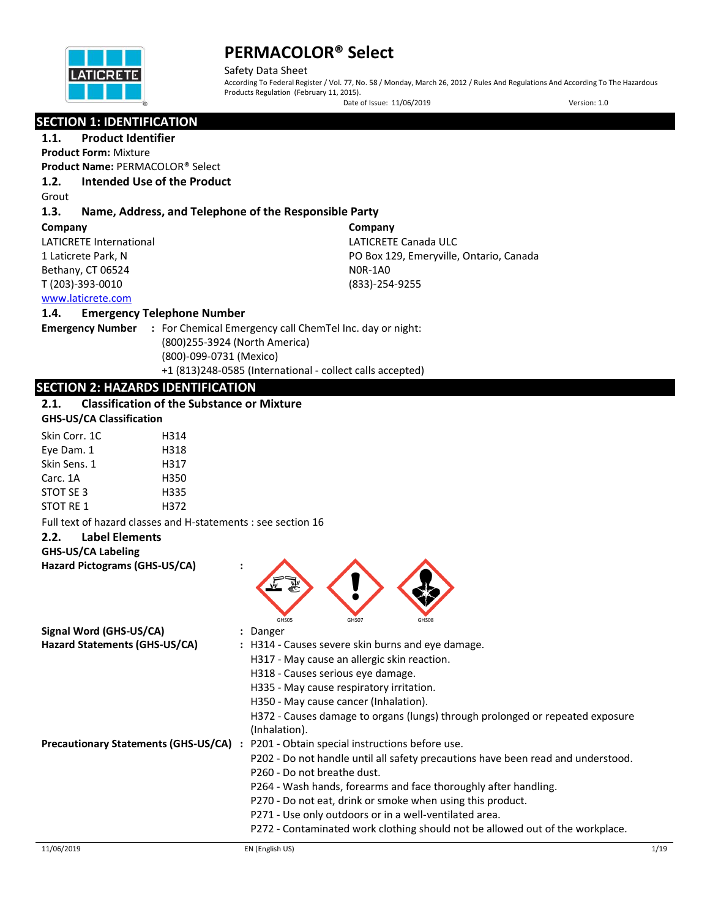

Safety Data Sheet According To Federal Register / Vol. 77, No. 58 / Monday, March 26, 2012 / Rules And Regulations And According To The Hazardous Products Regulation (February 11, 2015).

Date of Issue: 11/06/2019 Version: 1.0

## **SECTION 1: IDENTIFICATION**

**1.1. Product Identifier**

**Product Form:** Mixture **Product Name:** PERMACOLOR® Select

**1.2. Intended Use of the Product**

Grout

## **1.3. Name, Address, and Telephone of the Responsible Party**

**Company** 

LATICRETE International 1 Laticrete Park, N Bethany, CT 06524 T (203)-393-0010

**Company** LATICRETE Canada ULC PO Box 129, Emeryville, Ontario, Canada N0R-1A0 (833)-254-9255

[www.laticrete.com](http://www.laticrete.com/) 

### **1.4. Emergency Telephone Number**

**Emergency Number :** For Chemical Emergency call ChemTel Inc. day or night: (800)255-3924 (North America) (800)-099-0731 (Mexico) +1 (813)248-0585 (International - collect calls accepted)

## **SECTION 2: HAZARDS IDENTIFICATION**

### **2.1. Classification of the Substance or Mixture**

|  | <b>GHS-US/CA Classification</b> |
|--|---------------------------------|
|--|---------------------------------|

| Skin Corr. 1C    | H314 |
|------------------|------|
| Eye Dam. 1       | H318 |
| Skin Sens. 1     | H317 |
| Carc. 1A         | H350 |
| STOT SE 3        | H335 |
| <b>STOT RE 1</b> | H372 |
|                  |      |

Full text of hazard classes and H-statements : see section 16

## **2.2. Label Elements**

#### **GHS-US/CA Labeling**

**Hazard Pictograms (GHS-US/CA) :**



P202 - Do not handle until all safety precautions have been read and understood.

- P260 Do not breathe dust.
- P264 Wash hands, forearms and face thoroughly after handling.
- P270 Do not eat, drink or smoke when using this product.
- P271 Use only outdoors or in a well-ventilated area.
- P272 Contaminated work clothing should not be allowed out of the workplace.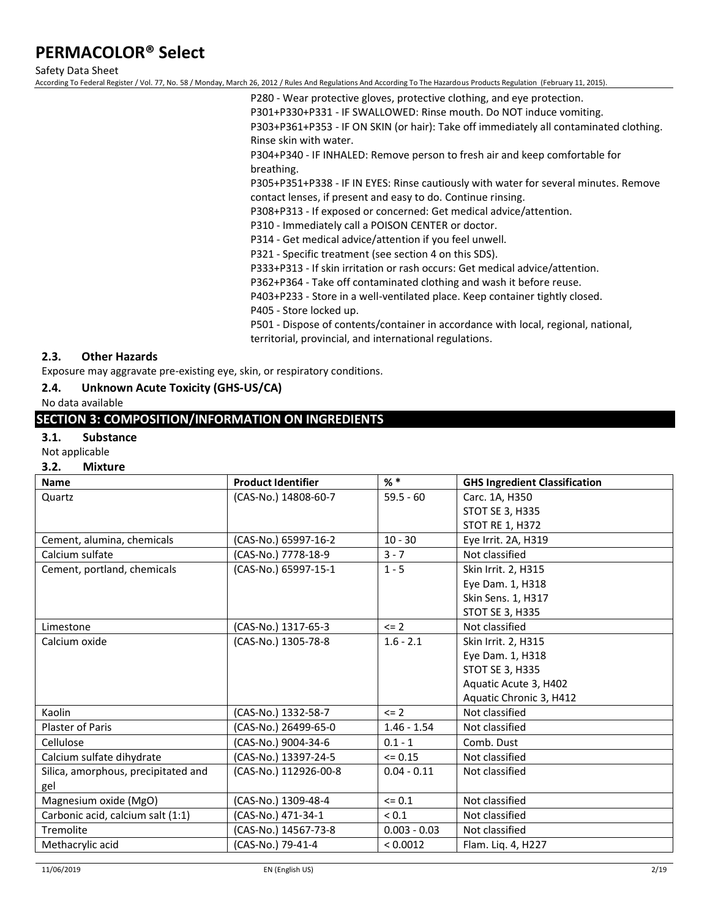Safety Data Sheet

According To Federal Register / Vol. 77, No. 58 / Monday, March 26, 2012 / Rules And Regulations And According To The Hazardous Products Regulation (February 11, 2015).

P280 - Wear protective gloves, protective clothing, and eye protection. P301+P330+P331 - IF SWALLOWED: Rinse mouth. Do NOT induce vomiting. P303+P361+P353 - IF ON SKIN (or hair): Take off immediately all contaminated clothing. Rinse skin with water.

P304+P340 - IF INHALED: Remove person to fresh air and keep comfortable for breathing.

P305+P351+P338 - IF IN EYES: Rinse cautiously with water for several minutes. Remove contact lenses, if present and easy to do. Continue rinsing.

P308+P313 - If exposed or concerned: Get medical advice/attention.

P310 - Immediately call a POISON CENTER or doctor.

P314 - Get medical advice/attention if you feel unwell.

P321 - Specific treatment (see section 4 on this SDS).

P333+P313 - If skin irritation or rash occurs: Get medical advice/attention.

P362+P364 - Take off contaminated clothing and wash it before reuse.

P403+P233 - Store in a well-ventilated place. Keep container tightly closed.

P405 - Store locked up.

P501 - Dispose of contents/container in accordance with local, regional, national, territorial, provincial, and international regulations.

### **2.3. Other Hazards**

Exposure may aggravate pre-existing eye, skin, or respiratory conditions.

#### **2.4. Unknown Acute Toxicity (GHS-US/CA)**

No data available

### **SECTION 3: COMPOSITION/INFORMATION ON INGREDIENTS**

#### **3.1. Substance**

Not applicable

#### **3.2. Mixture**

| <b>Name</b>                         | <b>Product Identifier</b> | $%$ $*$        | <b>GHS Ingredient Classification</b> |
|-------------------------------------|---------------------------|----------------|--------------------------------------|
| Quartz                              | (CAS-No.) 14808-60-7      | $59.5 - 60$    | Carc. 1A, H350                       |
|                                     |                           |                | <b>STOT SE 3, H335</b>               |
|                                     |                           |                | <b>STOT RE 1, H372</b>               |
| Cement, alumina, chemicals          | (CAS-No.) 65997-16-2      | $10 - 30$      | Eye Irrit. 2A, H319                  |
| Calcium sulfate                     | (CAS-No.) 7778-18-9       | $3 - 7$        | Not classified                       |
| Cement, portland, chemicals         | (CAS-No.) 65997-15-1      | $1 - 5$        | Skin Irrit. 2, H315                  |
|                                     |                           |                | Eye Dam. 1, H318                     |
|                                     |                           |                | Skin Sens. 1, H317                   |
|                                     |                           |                | STOT SE 3, H335                      |
| Limestone                           | (CAS-No.) 1317-65-3       | $\leq$ 2       | Not classified                       |
| Calcium oxide                       | (CAS-No.) 1305-78-8       | $1.6 - 2.1$    | Skin Irrit. 2, H315                  |
|                                     |                           |                | Eye Dam. 1, H318                     |
|                                     |                           |                | STOT SE 3, H335                      |
|                                     |                           |                | Aquatic Acute 3, H402                |
|                                     |                           |                | Aquatic Chronic 3, H412              |
| Kaolin                              | (CAS-No.) 1332-58-7       | $\leq$ 2       | Not classified                       |
| Plaster of Paris                    | (CAS-No.) 26499-65-0      | $1.46 - 1.54$  | Not classified                       |
| Cellulose                           | (CAS-No.) 9004-34-6       | $0.1 - 1$      | Comb. Dust                           |
| Calcium sulfate dihydrate           | (CAS-No.) 13397-24-5      | $\leq 0.15$    | Not classified                       |
| Silica, amorphous, precipitated and | (CAS-No.) 112926-00-8     | $0.04 - 0.11$  | Not classified                       |
| gel                                 |                           |                |                                      |
| Magnesium oxide (MgO)               | (CAS-No.) 1309-48-4       | $= 0.1$        | Not classified                       |
| Carbonic acid, calcium salt (1:1)   | (CAS-No.) 471-34-1        | ${}_{0.1}$     | Not classified                       |
| Tremolite                           | (CAS-No.) 14567-73-8      | $0.003 - 0.03$ | Not classified                       |
| Methacrylic acid                    | (CAS-No.) 79-41-4         | < 0.0012       | Flam. Liq. 4, H227                   |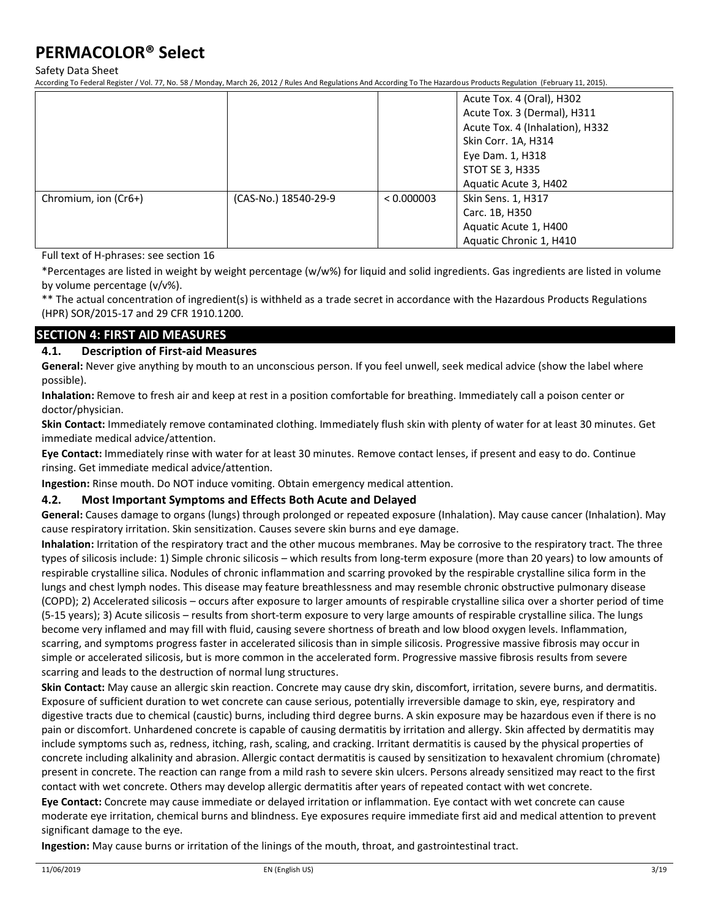Safety Data Sheet

According To Federal Register / Vol. 77, No. 58 / Monday, March 26, 2012 / Rules And Regulations And According To The Hazardous Products Regulation (February 11, 2015).

|                      |                      |            | Acute Tox. 4 (Oral), H302<br>Acute Tox. 3 (Dermal), H311<br>Acute Tox. 4 (Inhalation), H332<br>Skin Corr. 1A, H314<br>Eye Dam. 1, H318<br>STOT SE 3, H335<br>Aquatic Acute 3, H402 |
|----------------------|----------------------|------------|------------------------------------------------------------------------------------------------------------------------------------------------------------------------------------|
| Chromium, ion (Cr6+) | (CAS-No.) 18540-29-9 | < 0.000003 | Skin Sens. 1, H317<br>Carc. 1B, H350<br>Aquatic Acute 1, H400<br>Aquatic Chronic 1, H410                                                                                           |

Full text of H-phrases: see section 16

\*Percentages are listed in weight by weight percentage (w/w%) for liquid and solid ingredients. Gas ingredients are listed in volume by volume percentage (v/v%).

\*\* The actual concentration of ingredient(s) is withheld as a trade secret in accordance with the Hazardous Products Regulations (HPR) SOR/2015-17 and 29 CFR 1910.1200.

### **SECTION 4: FIRST AID MEASURES**

### **4.1. Description of First-aid Measures**

**General:** Never give anything by mouth to an unconscious person. If you feel unwell, seek medical advice (show the label where possible).

**Inhalation:** Remove to fresh air and keep at rest in a position comfortable for breathing. Immediately call a poison center or doctor/physician.

**Skin Contact:** Immediately remove contaminated clothing. Immediately flush skin with plenty of water for at least 30 minutes. Get immediate medical advice/attention.

**Eye Contact:** Immediately rinse with water for at least 30 minutes. Remove contact lenses, if present and easy to do. Continue rinsing. Get immediate medical advice/attention.

**Ingestion:** Rinse mouth. Do NOT induce vomiting. Obtain emergency medical attention.

### **4.2. Most Important Symptoms and Effects Both Acute and Delayed**

**General:** Causes damage to organs (lungs) through prolonged or repeated exposure (Inhalation). May cause cancer (Inhalation). May cause respiratory irritation. Skin sensitization. Causes severe skin burns and eye damage.

**Inhalation:** Irritation of the respiratory tract and the other mucous membranes. May be corrosive to the respiratory tract. The three types of silicosis include: 1) Simple chronic silicosis – which results from long-term exposure (more than 20 years) to low amounts of respirable crystalline silica. Nodules of chronic inflammation and scarring provoked by the respirable crystalline silica form in the lungs and chest lymph nodes. This disease may feature breathlessness and may resemble chronic obstructive pulmonary disease (COPD); 2) Accelerated silicosis – occurs after exposure to larger amounts of respirable crystalline silica over a shorter period of time (5-15 years); 3) Acute silicosis – results from short-term exposure to very large amounts of respirable crystalline silica. The lungs become very inflamed and may fill with fluid, causing severe shortness of breath and low blood oxygen levels. Inflammation, scarring, and symptoms progress faster in accelerated silicosis than in simple silicosis. Progressive massive fibrosis may occur in simple or accelerated silicosis, but is more common in the accelerated form. Progressive massive fibrosis results from severe scarring and leads to the destruction of normal lung structures.

**Skin Contact:** May cause an allergic skin reaction. Concrete may cause dry skin, discomfort, irritation, severe burns, and dermatitis. Exposure of sufficient duration to wet concrete can cause serious, potentially irreversible damage to skin, eye, respiratory and digestive tracts due to chemical (caustic) burns, including third degree burns. A skin exposure may be hazardous even if there is no pain or discomfort. Unhardened concrete is capable of causing dermatitis by irritation and allergy. Skin affected by dermatitis may include symptoms such as, redness, itching, rash, scaling, and cracking. Irritant dermatitis is caused by the physical properties of concrete including alkalinity and abrasion. Allergic contact dermatitis is caused by sensitization to hexavalent chromium (chromate) present in concrete. The reaction can range from a mild rash to severe skin ulcers. Persons already sensitized may react to the first contact with wet concrete. Others may develop allergic dermatitis after years of repeated contact with wet concrete.

**Eye Contact:** Concrete may cause immediate or delayed irritation or inflammation. Eye contact with wet concrete can cause moderate eye irritation, chemical burns and blindness. Eye exposures require immediate first aid and medical attention to prevent significant damage to the eye.

**Ingestion:** May cause burns or irritation of the linings of the mouth, throat, and gastrointestinal tract.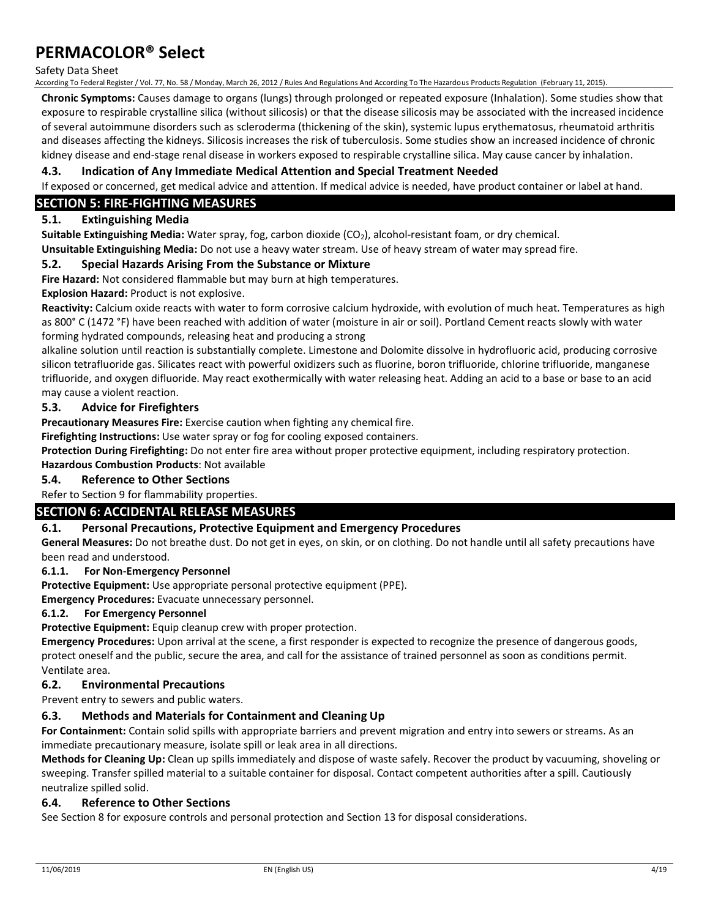#### Safety Data Sheet

According To Federal Register / Vol. 77, No. 58 / Monday, March 26, 2012 / Rules And Regulations And According To The Hazardous Products Regulation (February 11, 2015).

**Chronic Symptoms:** Causes damage to organs (lungs) through prolonged or repeated exposure (Inhalation). Some studies show that exposure to respirable crystalline silica (without silicosis) or that the disease silicosis may be associated with the increased incidence of several autoimmune disorders such as scleroderma (thickening of the skin), systemic lupus erythematosus, rheumatoid arthritis and diseases affecting the kidneys. Silicosis increases the risk of tuberculosis. Some studies show an increased incidence of chronic kidney disease and end-stage renal disease in workers exposed to respirable crystalline silica. May cause cancer by inhalation.

#### **4.3. Indication of Any Immediate Medical Attention and Special Treatment Needed**

If exposed or concerned, get medical advice and attention. If medical advice is needed, have product container or label at hand.

### **SECTION 5: FIRE-FIGHTING MEASURES**

### **5.1. Extinguishing Media**

**Suitable Extinguishing Media:** Water spray, fog, carbon dioxide (CO<sub>2</sub>), alcohol-resistant foam, or dry chemical.

**Unsuitable Extinguishing Media:** Do not use a heavy water stream. Use of heavy stream of water may spread fire.

#### **5.2. Special Hazards Arising From the Substance or Mixture**

**Fire Hazard:** Not considered flammable but may burn at high temperatures.

**Explosion Hazard:** Product is not explosive.

**Reactivity:** Calcium oxide reacts with water to form corrosive calcium hydroxide, with evolution of much heat. Temperatures as high as 800° C (1472 °F) have been reached with addition of water (moisture in air or soil). Portland Cement reacts slowly with water forming hydrated compounds, releasing heat and producing a strong

alkaline solution until reaction is substantially complete. Limestone and Dolomite dissolve in hydrofluoric acid, producing corrosive silicon tetrafluoride gas. Silicates react with powerful oxidizers such as fluorine, boron trifluoride, chlorine trifluoride, manganese trifluoride, and oxygen difluoride. May react exothermically with water releasing heat. Adding an acid to a base or base to an acid may cause a violent reaction.

### **5.3. Advice for Firefighters**

**Precautionary Measures Fire:** Exercise caution when fighting any chemical fire.

**Firefighting Instructions:** Use water spray or fog for cooling exposed containers.

**Protection During Firefighting:** Do not enter fire area without proper protective equipment, including respiratory protection. **Hazardous Combustion Products**: Not available

#### **5.4. Reference to Other Sections**

Refer to Section 9 for flammability properties.

### **SECTION 6: ACCIDENTAL RELEASE MEASURES**

### **6.1. Personal Precautions, Protective Equipment and Emergency Procedures**

**General Measures:** Do not breathe dust. Do not get in eyes, on skin, or on clothing. Do not handle until all safety precautions have been read and understood.

#### **6.1.1. For Non-Emergency Personnel**

**Protective Equipment:** Use appropriate personal protective equipment (PPE).

**Emergency Procedures:** Evacuate unnecessary personnel.

#### **6.1.2. For Emergency Personnel**

**Protective Equipment:** Equip cleanup crew with proper protection.

**Emergency Procedures:** Upon arrival at the scene, a first responder is expected to recognize the presence of dangerous goods, protect oneself and the public, secure the area, and call for the assistance of trained personnel as soon as conditions permit. Ventilate area.

#### **6.2. Environmental Precautions**

Prevent entry to sewers and public waters.

## **6.3. Methods and Materials for Containment and Cleaning Up**

**For Containment:** Contain solid spills with appropriate barriers and prevent migration and entry into sewers or streams. As an immediate precautionary measure, isolate spill or leak area in all directions.

**Methods for Cleaning Up:** Clean up spills immediately and dispose of waste safely. Recover the product by vacuuming, shoveling or sweeping. Transfer spilled material to a suitable container for disposal. Contact competent authorities after a spill. Cautiously neutralize spilled solid.

### **6.4. Reference to Other Sections**

See Section 8 for exposure controls and personal protection and Section 13 for disposal considerations.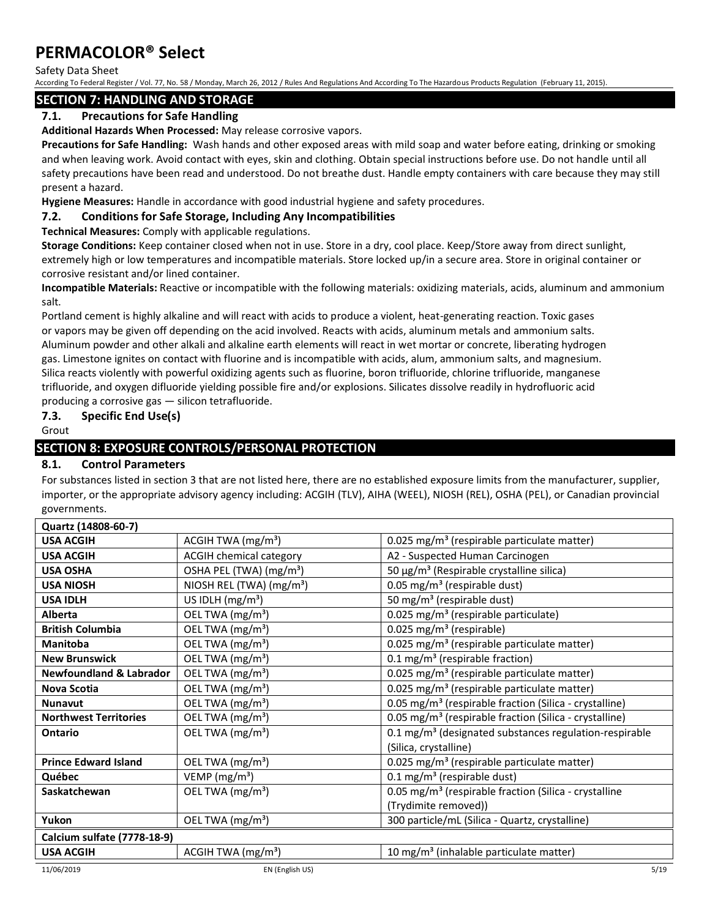Safety Data Sheet

According To Federal Register / Vol. 77, No. 58 / Monday, March 26, 2012 / Rules And Regulations And According To The Hazardous Products Regulation (February 11, 2015).

## **SECTION 7: HANDLING AND STORAGE**

## **7.1. Precautions for Safe Handling**

**Additional Hazards When Processed:** May release corrosive vapors.

**Precautions for Safe Handling:** Wash hands and other exposed areas with mild soap and water before eating, drinking or smoking and when leaving work. Avoid contact with eyes, skin and clothing. Obtain special instructions before use. Do not handle until all safety precautions have been read and understood. Do not breathe dust. Handle empty containers with care because they may still present a hazard.

**Hygiene Measures:** Handle in accordance with good industrial hygiene and safety procedures.

## **7.2. Conditions for Safe Storage, Including Any Incompatibilities**

**Technical Measures:** Comply with applicable regulations.

**Storage Conditions:** Keep container closed when not in use. Store in a dry, cool place. Keep/Store away from direct sunlight, extremely high or low temperatures and incompatible materials. Store locked up/in a secure area. Store in original container or corrosive resistant and/or lined container.

**Incompatible Materials:** Reactive or incompatible with the following materials: oxidizing materials, acids, aluminum and ammonium salt.

Portland cement is highly alkaline and will react with acids to produce a violent, heat-generating reaction. Toxic gases or vapors may be given off depending on the acid involved. Reacts with acids, aluminum metals and ammonium salts. Aluminum powder and other alkali and alkaline earth elements will react in wet mortar or concrete, liberating hydrogen gas. Limestone ignites on contact with fluorine and is incompatible with acids, alum, ammonium salts, and magnesium. Silica reacts violently with powerful oxidizing agents such as fluorine, boron trifluoride, chlorine trifluoride, manganese trifluoride, and oxygen difluoride yielding possible fire and/or explosions. Silicates dissolve readily in hydrofluoric acid producing a corrosive gas — silicon tetrafluoride.

## **7.3. Specific End Use(s)**

Grout

## **SECTION 8: EXPOSURE CONTROLS/PERSONAL PROTECTION**

## **8.1. Control Parameters**

For substances listed in section 3 that are not listed here, there are no established exposure limits from the manufacturer, supplier, importer, or the appropriate advisory agency including: ACGIH (TLV), AIHA (WEEL), NIOSH (REL), OSHA (PEL), or Canadian provincial governments.

| Quartz (14808-60-7)                |                                     |                                                                    |
|------------------------------------|-------------------------------------|--------------------------------------------------------------------|
| <b>USA ACGIH</b>                   | ACGIH TWA (mg/m <sup>3</sup> )      | 0.025 mg/m <sup>3</sup> (respirable particulate matter)            |
| <b>USA ACGIH</b>                   | <b>ACGIH chemical category</b>      | A2 - Suspected Human Carcinogen                                    |
| <b>USA OSHA</b>                    | OSHA PEL (TWA) (mg/m <sup>3</sup> ) | 50 μg/m <sup>3</sup> (Respirable crystalline silica)               |
| <b>USA NIOSH</b>                   | NIOSH REL (TWA) $(mg/m3)$           | 0.05 mg/m <sup>3</sup> (respirable dust)                           |
| <b>USA IDLH</b>                    | US IDLH $(mg/m3)$                   | 50 mg/m <sup>3</sup> (respirable dust)                             |
| <b>Alberta</b>                     | OEL TWA (mg/m <sup>3</sup> )        | 0.025 mg/m <sup>3</sup> (respirable particulate)                   |
| <b>British Columbia</b>            | OEL TWA (mg/m <sup>3</sup> )        | 0.025 mg/m <sup>3</sup> (respirable)                               |
| <b>Manitoba</b>                    | OEL TWA (mg/m <sup>3</sup> )        | 0.025 mg/m <sup>3</sup> (respirable particulate matter)            |
| <b>New Brunswick</b>               | OEL TWA (mg/m <sup>3</sup> )        | 0.1 mg/m <sup>3</sup> (respirable fraction)                        |
| <b>Newfoundland &amp; Labrador</b> | OEL TWA (mg/m <sup>3</sup> )        | 0.025 mg/m <sup>3</sup> (respirable particulate matter)            |
| Nova Scotia                        | OEL TWA (mg/m <sup>3</sup> )        | 0.025 mg/m <sup>3</sup> (respirable particulate matter)            |
| <b>Nunavut</b>                     | OEL TWA (mg/m <sup>3</sup> )        | 0.05 mg/m <sup>3</sup> (respirable fraction (Silica - crystalline) |
| <b>Northwest Territories</b>       | OEL TWA (mg/m <sup>3</sup> )        | 0.05 mg/m <sup>3</sup> (respirable fraction (Silica - crystalline) |
| <b>Ontario</b>                     | OEL TWA (mg/m <sup>3</sup> )        | 0.1 mg/m <sup>3</sup> (designated substances regulation-respirable |
|                                    |                                     | (Silica, crystalline)                                              |
| <b>Prince Edward Island</b>        | OEL TWA (mg/m <sup>3</sup> )        | 0.025 mg/m <sup>3</sup> (respirable particulate matter)            |
| Québec                             | VEMP (mg/m <sup>3</sup> )           | 0.1 mg/m <sup>3</sup> (respirable dust)                            |
| Saskatchewan                       | OEL TWA (mg/m <sup>3</sup> )        | 0.05 mg/m <sup>3</sup> (respirable fraction (Silica - crystalline  |
|                                    |                                     | (Trydimite removed))                                               |
| Yukon                              | OEL TWA (mg/m <sup>3</sup> )        | 300 particle/mL (Silica - Quartz, crystalline)                     |
| Calcium sulfate (7778-18-9)        |                                     |                                                                    |
| <b>USA ACGIH</b>                   | ACGIH TWA $(mg/m3)$                 | 10 mg/m <sup>3</sup> (inhalable particulate matter)                |
| 11/06/2019                         | EN (English US)                     | 5/19                                                               |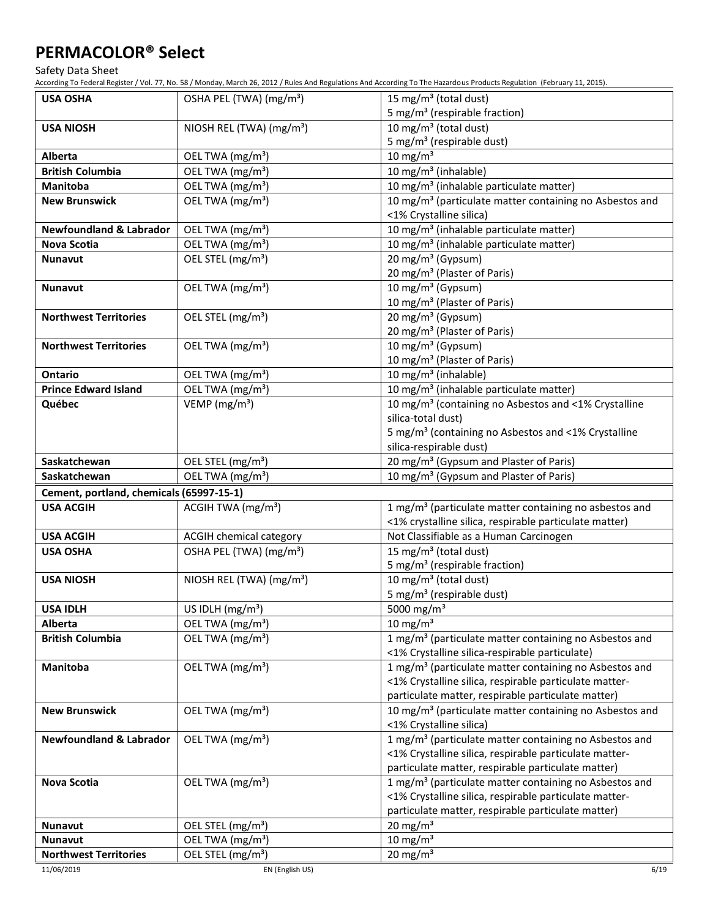Safety Data Sheet

According To Federal Register / Vol. 77, No. 58 / Monday, March 26, 2012 / Rules And Regulations And According To The Hazardous Products Regulation (February 11, 2015).

| <b>USA OSHA</b>                                | OSHA PEL (TWA) (mg/m <sup>3</sup> )                           | 15 mg/m <sup>3</sup> (total dust)                                   |
|------------------------------------------------|---------------------------------------------------------------|---------------------------------------------------------------------|
|                                                |                                                               | 5 mg/m <sup>3</sup> (respirable fraction)                           |
| <b>USA NIOSH</b>                               | NIOSH REL (TWA) (mg/m <sup>3</sup> )                          | $\overline{10}$ mg/m <sup>3</sup> (total dust)                      |
|                                                |                                                               | 5 mg/m <sup>3</sup> (respirable dust)                               |
| <b>Alberta</b>                                 | OEL TWA (mg/m <sup>3</sup> )                                  | 10 mg/m $3$                                                         |
| <b>British Columbia</b>                        | OEL TWA (mg/m <sup>3</sup> )                                  | 10 mg/m <sup>3</sup> (inhalable)                                    |
| Manitoba                                       | OEL TWA (mg/m <sup>3</sup> )                                  | 10 mg/m <sup>3</sup> (inhalable particulate matter)                 |
| <b>New Brunswick</b>                           | OEL TWA (mg/m <sup>3</sup> )                                  | 10 mg/m <sup>3</sup> (particulate matter containing no Asbestos and |
|                                                |                                                               | <1% Crystalline silica)                                             |
| <b>Newfoundland &amp; Labrador</b>             | OEL TWA (mg/m <sup>3</sup> )                                  | 10 mg/m <sup>3</sup> (inhalable particulate matter)                 |
| Nova Scotia                                    | OEL TWA (mg/m <sup>3</sup> )                                  | 10 mg/m <sup>3</sup> (inhalable particulate matter)                 |
| <b>Nunavut</b>                                 | OEL STEL (mg/m <sup>3</sup> )                                 | 20 mg/m <sup>3</sup> (Gypsum)                                       |
|                                                |                                                               | 20 mg/m <sup>3</sup> (Plaster of Paris)                             |
| <b>Nunavut</b>                                 | OEL TWA (mg/m <sup>3</sup> )                                  | 10 mg/m <sup>3</sup> (Gypsum)                                       |
|                                                |                                                               | 10 mg/m <sup>3</sup> (Plaster of Paris)                             |
| <b>Northwest Territories</b>                   | OEL STEL (mg/m <sup>3</sup> )                                 | 20 mg/m <sup>3</sup> (Gypsum)                                       |
|                                                |                                                               | 20 mg/m <sup>3</sup> (Plaster of Paris)                             |
| <b>Northwest Territories</b>                   | OEL TWA (mg/m <sup>3</sup> )                                  | 10 mg/m <sup>3</sup> (Gypsum)                                       |
|                                                |                                                               | 10 mg/m <sup>3</sup> (Plaster of Paris)                             |
| <b>Ontario</b>                                 | OEL TWA (mg/m <sup>3</sup> )                                  | 10 mg/m <sup>3</sup> (inhalable)                                    |
| <b>Prince Edward Island</b>                    | OEL TWA (mg/m <sup>3</sup> )                                  | 10 mg/m <sup>3</sup> (inhalable particulate matter)                 |
| Québec                                         | VEMP ( $mg/m3$ )                                              | 10 mg/m <sup>3</sup> (containing no Asbestos and <1% Crystalline    |
|                                                |                                                               | silica-total dust)                                                  |
|                                                |                                                               | 5 mg/m <sup>3</sup> (containing no Asbestos and <1% Crystalline     |
|                                                |                                                               | silica-respirable dust)                                             |
| Saskatchewan                                   | OEL STEL (mg/m <sup>3</sup> )                                 | 20 mg/m <sup>3</sup> (Gypsum and Plaster of Paris)                  |
| Saskatchewan                                   | OEL TWA (mg/m <sup>3</sup> )                                  |                                                                     |
|                                                |                                                               | 10 mg/m <sup>3</sup> (Gypsum and Plaster of Paris)                  |
| Cement, portland, chemicals (65997-15-1)       |                                                               |                                                                     |
| <b>USA ACGIH</b>                               | ACGIH TWA $(mg/m3)$                                           | 1 mg/m <sup>3</sup> (particulate matter containing no asbestos and  |
|                                                |                                                               | <1% crystalline silica, respirable particulate matter)              |
| <b>USA ACGIH</b>                               | <b>ACGIH chemical category</b>                                | Not Classifiable as a Human Carcinogen                              |
| <b>USA OSHA</b>                                | OSHA PEL (TWA) (mg/m <sup>3</sup> )                           | 15 mg/m <sup>3</sup> (total dust)                                   |
|                                                |                                                               | 5 mg/m <sup>3</sup> (respirable fraction)                           |
| <b>USA NIOSH</b>                               | NIOSH REL (TWA) (mg/m <sup>3</sup> )                          | 10 mg/m <sup>3</sup> (total dust)                                   |
|                                                |                                                               | 5 mg/m <sup>3</sup> (respirable dust)                               |
| <b>USA IDLH</b>                                | US IDLH $(mg/m3)$                                             | 5000 mg/m $3$                                                       |
| Alberta                                        | OEL TWA (mg/m <sup>3</sup> )                                  | 10 mg/m <sup>3</sup>                                                |
| <b>British Columbia</b>                        | OEL TWA (mg/m <sup>3</sup> )                                  | 1 mg/m <sup>3</sup> (particulate matter containing no Asbestos and  |
|                                                |                                                               | <1% Crystalline silica-respirable particulate)                      |
| Manitoba                                       | OEL TWA (mg/m <sup>3</sup> )                                  | 1 mg/m <sup>3</sup> (particulate matter containing no Asbestos and  |
|                                                |                                                               | <1% Crystalline silica, respirable particulate matter-              |
|                                                |                                                               | particulate matter, respirable particulate matter)                  |
| <b>New Brunswick</b>                           | OEL TWA (mg/m <sup>3</sup> )                                  | 10 mg/m <sup>3</sup> (particulate matter containing no Asbestos and |
|                                                |                                                               | <1% Crystalline silica)                                             |
| <b>Newfoundland &amp; Labrador</b>             | OEL TWA (mg/m <sup>3</sup> )                                  | 1 mg/m <sup>3</sup> (particulate matter containing no Asbestos and  |
|                                                |                                                               | <1% Crystalline silica, respirable particulate matter-              |
|                                                |                                                               | particulate matter, respirable particulate matter)                  |
| Nova Scotia                                    | OEL TWA (mg/m <sup>3</sup> )                                  | 1 mg/m <sup>3</sup> (particulate matter containing no Asbestos and  |
|                                                |                                                               | <1% Crystalline silica, respirable particulate matter-              |
|                                                |                                                               | particulate matter, respirable particulate matter)                  |
| Nunavut                                        | OEL STEL (mg/m <sup>3</sup> )                                 | 20 mg/m $3$                                                         |
| <b>Nunavut</b><br><b>Northwest Territories</b> | OEL TWA (mg/m <sup>3</sup> )<br>OEL STEL (mg/m <sup>3</sup> ) | 10 mg/m $3$<br>20 mg/m $3$                                          |

11/06/2019 EN (English US) 6/19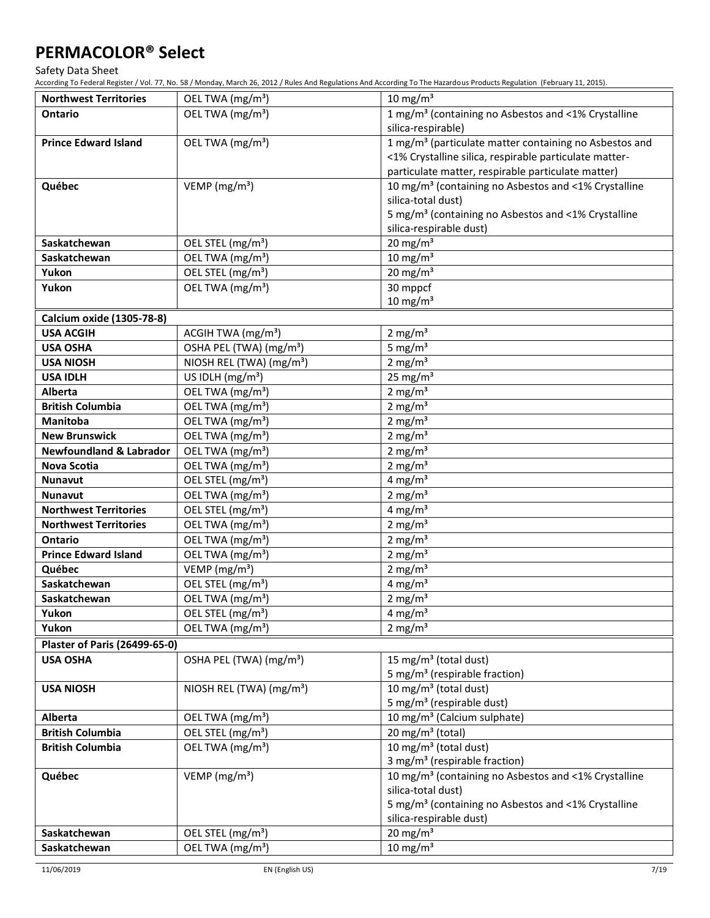Safety Data Sheet

| <b>Northwest Territories</b>         | OEL TWA (mg/m <sup>3</sup> )         | 10 mg/m $3$                                                                            |
|--------------------------------------|--------------------------------------|----------------------------------------------------------------------------------------|
| <b>Ontario</b>                       | OEL TWA (mg/m <sup>3</sup> )         | 1 mg/m <sup>3</sup> (containing no Asbestos and <1% Crystalline                        |
|                                      |                                      | silica-respirable)                                                                     |
| <b>Prince Edward Island</b>          | OEL TWA (mg/m <sup>3</sup> )         | 1 mg/m <sup>3</sup> (particulate matter containing no Asbestos and                     |
|                                      |                                      | <1% Crystalline silica, respirable particulate matter-                                 |
|                                      |                                      | particulate matter, respirable particulate matter)                                     |
| Québec                               | VEMP ( $mg/m3$ )                     | 10 mg/m <sup>3</sup> (containing no Asbestos and <1% Crystalline                       |
|                                      |                                      | silica-total dust)                                                                     |
|                                      |                                      | 5 mg/m <sup>3</sup> (containing no Asbestos and <1% Crystalline                        |
|                                      |                                      | silica-respirable dust)                                                                |
| Saskatchewan                         | OEL STEL (mg/m <sup>3</sup> )        | 20 mg/m $3$                                                                            |
| Saskatchewan                         | OEL TWA (mg/m <sup>3</sup> )         | $10 \text{ mg/m}^3$                                                                    |
| Yukon                                | OEL STEL (mg/m <sup>3</sup> )        | 20 mg/m $3$                                                                            |
| Yukon                                | OEL TWA (mg/m <sup>3</sup> )         | 30 mppcf                                                                               |
|                                      |                                      | $10 \text{ mg/m}^3$                                                                    |
| Calcium oxide (1305-78-8)            |                                      |                                                                                        |
| <b>USA ACGIH</b>                     | ACGIH TWA (mg/m <sup>3</sup> )       | 2 mg/m $3$                                                                             |
| <b>USA OSHA</b>                      | OSHA PEL (TWA) (mg/m <sup>3</sup> )  | 5 mg/ $m3$                                                                             |
| <b>USA NIOSH</b>                     | NIOSH REL (TWA) (mg/m <sup>3</sup> ) | 2 mg/m $3$                                                                             |
| <b>USA IDLH</b>                      | US IDLH $(mg/m3)$                    | 25 mg/m $3$                                                                            |
| <b>Alberta</b>                       | OEL TWA (mg/m <sup>3</sup> )         | 2 mg/ $m3$                                                                             |
| <b>British Columbia</b>              | OEL TWA (mg/m <sup>3</sup> )         | 2 mg/m $3$                                                                             |
| <b>Manitoba</b>                      | OEL TWA (mg/m <sup>3</sup> )         | 2 mg/ $m3$                                                                             |
| <b>New Brunswick</b>                 | OEL TWA (mg/m <sup>3</sup> )         | 2 mg/m $3$                                                                             |
| <b>Newfoundland &amp; Labrador</b>   | OEL TWA (mg/m <sup>3</sup> )         | 2 mg/m $3$                                                                             |
| Nova Scotia                          | OEL TWA (mg/m <sup>3</sup> )         | $2$ mg/m <sup>3</sup>                                                                  |
| <b>Nunavut</b>                       | OEL STEL (mg/m <sup>3</sup> )        | $4 \text{ mg/m}^3$                                                                     |
| <b>Nunavut</b>                       | OEL TWA (mg/m <sup>3</sup> )         | 2 mg/m $3$                                                                             |
| <b>Northwest Territories</b>         | OEL STEL (mg/m <sup>3</sup> )        | $4 \text{ mg/m}^3$                                                                     |
| <b>Northwest Territories</b>         | OEL TWA (mg/m <sup>3</sup> )         | 2 mg/m $3$                                                                             |
| <b>Ontario</b>                       | OEL TWA (mg/m <sup>3</sup> )         | 2 mg/m $3$                                                                             |
| <b>Prince Edward Island</b>          | OEL TWA (mg/m <sup>3</sup> )         | 2 mg/m $3$                                                                             |
| Québec                               | VEMP ( $mg/m3$ )                     | 2 mg/m $3$                                                                             |
| Saskatchewan                         | OEL STEL (mg/m <sup>3</sup> )        | $4 \text{ mg/m}^3$                                                                     |
| Saskatchewan                         | OEL TWA (mg/m <sup>3</sup> )         | $2 \text{ mg/m}^3$                                                                     |
| Yukon                                | OEL STEL (mg/m <sup>3</sup> )        | $4 \text{ mg/m}^3$                                                                     |
| Yukon                                | OEL TWA (mg/m <sup>3</sup> )         | 2 mg/m $3$                                                                             |
| <b>Plaster of Paris (26499-65-0)</b> |                                      |                                                                                        |
| <b>USA OSHA</b>                      | OSHA PEL (TWA) (mg/m <sup>3</sup> )  | 15 mg/m <sup>3</sup> (total dust)                                                      |
|                                      |                                      | 5 mg/m <sup>3</sup> (respirable fraction)                                              |
| <b>USA NIOSH</b>                     | NIOSH REL (TWA) (mg/m <sup>3</sup> ) | 10 mg/m <sup>3</sup> (total dust)                                                      |
|                                      |                                      | 5 mg/m <sup>3</sup> (respirable dust)                                                  |
| Alberta                              | OEL TWA (mg/m <sup>3</sup> )         | 10 mg/m <sup>3</sup> (Calcium sulphate)                                                |
| <b>British Columbia</b>              | OEL STEL (mg/m <sup>3</sup> )        | 20 mg/m $3$ (total)                                                                    |
| <b>British Columbia</b>              | OEL TWA (mg/m <sup>3</sup> )         | 10 mg/m $3$ (total dust)                                                               |
|                                      |                                      | 3 mg/m <sup>3</sup> (respirable fraction)                                              |
| Québec                               | VEMP ( $mg/m3$ )                     | 10 mg/m <sup>3</sup> (containing no Asbestos and <1% Crystalline<br>silica-total dust) |
|                                      |                                      | 5 mg/m <sup>3</sup> (containing no Asbestos and <1% Crystalline                        |
|                                      |                                      | silica-respirable dust)                                                                |
| Saskatchewan                         | OEL STEL (mg/m <sup>3</sup> )        | 20 mg/m $3$                                                                            |
| Saskatchewan                         | OEL TWA (mg/m <sup>3</sup> )         | 10 $mg/m^3$                                                                            |
|                                      |                                      |                                                                                        |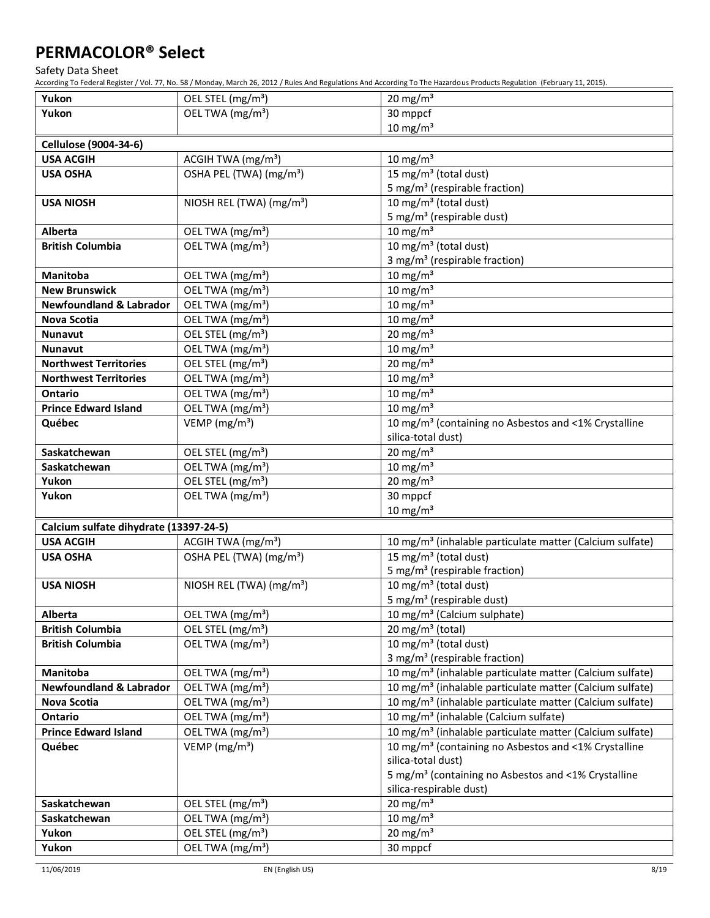Safety Data Sheet

| Yukon<br>OEL TWA (mg/m <sup>3</sup> )<br>30 mppcf<br>$10 \text{ mg/m}^3$<br><b>Cellulose (9004-34-6)</b><br>$10 \text{ mg/m}^3$<br>ACGIH TWA (mg/m <sup>3</sup> )<br><b>USA ACGIH</b><br>OSHA PEL (TWA) (mg/m <sup>3</sup> )<br>15 mg/m <sup>3</sup> (total dust)<br><b>USA OSHA</b><br>5 mg/m <sup>3</sup> (respirable fraction)<br>10 mg/m <sup>3</sup> (total dust)<br>NIOSH REL (TWA) (mg/m <sup>3</sup> )<br><b>USA NIOSH</b><br>5 mg/m <sup>3</sup> (respirable dust)<br>$10 \text{ mg/m}^3$<br>OEL TWA (mg/m <sup>3</sup> )<br><b>Alberta</b><br>10 mg/m <sup>3</sup> (total dust)<br>OEL TWA (mg/m <sup>3</sup> )<br><b>British Columbia</b><br>3 mg/m <sup>3</sup> (respirable fraction)<br>$10 \text{ mg/m}^3$<br><b>Manitoba</b><br>OEL TWA (mg/m <sup>3</sup> )<br>$10 \text{ mg/m}^3$<br>OEL TWA (mg/m <sup>3</sup> )<br><b>New Brunswick</b><br>10 mg/m $3$<br><b>Newfoundland &amp; Labrador</b><br>OEL TWA (mg/m <sup>3</sup> )<br>OEL TWA (mg/m <sup>3</sup> )<br>10 mg/m $3$<br><b>Nova Scotia</b><br>20 mg/m $3$<br>OEL STEL (mg/m <sup>3</sup> )<br><b>Nunavut</b><br>$10 \text{ mg/m}^3$<br>OEL TWA (mg/m <sup>3</sup> )<br><b>Nunavut</b><br>20 mg/m $3$<br><b>Northwest Territories</b><br>OEL STEL (mg/m <sup>3</sup> )<br>$10 \text{ mg/m}^3$<br>OEL TWA (mg/m <sup>3</sup> )<br><b>Northwest Territories</b><br>$10 \text{ mg/m}^3$<br>OEL TWA (mg/m <sup>3</sup> )<br>Ontario<br>$10 \text{ mg/m}^3$<br>OEL TWA (mg/m <sup>3</sup> )<br><b>Prince Edward Island</b><br>VEMP ( $mg/m3$ )<br>10 mg/m <sup>3</sup> (containing no Asbestos and <1% Crystalline<br>Québec<br>silica-total dust)<br>20 mg/m $3$<br>OEL STEL (mg/m <sup>3</sup> )<br>Saskatchewan<br>$10 \text{ mg/m}^3$<br>OEL TWA (mg/m <sup>3</sup> )<br>Saskatchewan<br>OEL STEL (mg/m <sup>3</sup> )<br>20 mg/m $3$<br>Yukon<br>30 mppcf<br>Yukon<br>OEL TWA (mg/m <sup>3</sup> )<br>$10 \text{ mg/m}^3$<br>Calcium sulfate dihydrate (13397-24-5)<br><b>USA ACGIH</b><br>ACGIH TWA (mg/m <sup>3</sup> )<br>10 mg/m <sup>3</sup> (inhalable particulate matter (Calcium sulfate)<br>15 mg/m <sup>3</sup> (total dust)<br>OSHA PEL (TWA) (mg/m <sup>3</sup> )<br><b>USA OSHA</b><br>5 mg/m <sup>3</sup> (respirable fraction)<br>10 mg/m <sup>3</sup> (total dust)<br><b>USA NIOSH</b><br>NIOSH REL (TWA) (mg/m <sup>3</sup> )<br>5 mg/m <sup>3</sup> (respirable dust)<br>OEL TWA (mg/m <sup>3</sup> )<br>10 mg/m <sup>3</sup> (Calcium sulphate)<br>Alberta<br>OEL STEL (mg/m <sup>3</sup> )<br>20 mg/m <sup>3</sup> (total)<br><b>British Columbia</b><br>10 mg/m <sup>3</sup> (total dust)<br>OEL TWA (mg/m <sup>3</sup> )<br><b>British Columbia</b><br>3 mg/m <sup>3</sup> (respirable fraction)<br>10 mg/m <sup>3</sup> (inhalable particulate matter (Calcium sulfate)<br><b>Manitoba</b><br>OEL TWA (mg/m <sup>3</sup> )<br>OEL TWA (mg/m <sup>3</sup> )<br>10 mg/m <sup>3</sup> (inhalable particulate matter (Calcium sulfate)<br><b>Newfoundland &amp; Labrador</b><br>OEL TWA (mg/m <sup>3</sup> )<br>10 mg/m <sup>3</sup> (inhalable particulate matter (Calcium sulfate)<br><b>Nova Scotia</b><br>OEL TWA (mg/m <sup>3</sup> )<br>10 mg/m <sup>3</sup> (inhalable (Calcium sulfate)<br>Ontario<br>OEL TWA (mg/m <sup>3</sup> )<br>10 mg/m <sup>3</sup> (inhalable particulate matter (Calcium sulfate)<br><b>Prince Edward Island</b><br>VEMP ( $mg/m3$ )<br>10 mg/m <sup>3</sup> (containing no Asbestos and <1% Crystalline<br>Québec<br>silica-total dust)<br>5 mg/m <sup>3</sup> (containing no Asbestos and <1% Crystalline<br>silica-respirable dust)<br>20 mg/m $3$<br>Saskatchewan<br>OEL STEL (mg/m <sup>3</sup> )<br>10 mg/m $3$<br>OEL TWA (mg/m <sup>3</sup> )<br>Saskatchewan<br>20 mg/m $3$<br>Yukon<br>OEL STEL (mg/m <sup>3</sup> ) | Yukon | OEL STEL (mg/m <sup>3</sup> ) | 20 mg/m $3$ |
|-------------------------------------------------------------------------------------------------------------------------------------------------------------------------------------------------------------------------------------------------------------------------------------------------------------------------------------------------------------------------------------------------------------------------------------------------------------------------------------------------------------------------------------------------------------------------------------------------------------------------------------------------------------------------------------------------------------------------------------------------------------------------------------------------------------------------------------------------------------------------------------------------------------------------------------------------------------------------------------------------------------------------------------------------------------------------------------------------------------------------------------------------------------------------------------------------------------------------------------------------------------------------------------------------------------------------------------------------------------------------------------------------------------------------------------------------------------------------------------------------------------------------------------------------------------------------------------------------------------------------------------------------------------------------------------------------------------------------------------------------------------------------------------------------------------------------------------------------------------------------------------------------------------------------------------------------------------------------------------------------------------------------------------------------------------------------------------------------------------------------------------------------------------------------------------------------------------------------------------------------------------------------------------------------------------------------------------------------------------------------------------------------------------------------------------------------------------------------------------------------------------------------------------------------------------------------------------------------------------------------------------------------------------------------------------------------------------------------------------------------------------------------------------------------------------------------------------------------------------------------------------------------------------------------------------------------------------------------------------------------------------------------------------------------------------------------------------------------------------------------------------------------------------------------------------------------------------------------------------------------------------------------------------------------------------------------------------------------------------------------------------------------------------------------------------------------------------------------------------------------------------------------------------------------------------------------------------------------------------------------------------------------------------------------------------------------------------------------------------------------------------|-------|-------------------------------|-------------|
|                                                                                                                                                                                                                                                                                                                                                                                                                                                                                                                                                                                                                                                                                                                                                                                                                                                                                                                                                                                                                                                                                                                                                                                                                                                                                                                                                                                                                                                                                                                                                                                                                                                                                                                                                                                                                                                                                                                                                                                                                                                                                                                                                                                                                                                                                                                                                                                                                                                                                                                                                                                                                                                                                                                                                                                                                                                                                                                                                                                                                                                                                                                                                                                                                                                                                                                                                                                                                                                                                                                                                                                                                                                                                                                                                             |       |                               |             |
|                                                                                                                                                                                                                                                                                                                                                                                                                                                                                                                                                                                                                                                                                                                                                                                                                                                                                                                                                                                                                                                                                                                                                                                                                                                                                                                                                                                                                                                                                                                                                                                                                                                                                                                                                                                                                                                                                                                                                                                                                                                                                                                                                                                                                                                                                                                                                                                                                                                                                                                                                                                                                                                                                                                                                                                                                                                                                                                                                                                                                                                                                                                                                                                                                                                                                                                                                                                                                                                                                                                                                                                                                                                                                                                                                             |       |                               |             |
|                                                                                                                                                                                                                                                                                                                                                                                                                                                                                                                                                                                                                                                                                                                                                                                                                                                                                                                                                                                                                                                                                                                                                                                                                                                                                                                                                                                                                                                                                                                                                                                                                                                                                                                                                                                                                                                                                                                                                                                                                                                                                                                                                                                                                                                                                                                                                                                                                                                                                                                                                                                                                                                                                                                                                                                                                                                                                                                                                                                                                                                                                                                                                                                                                                                                                                                                                                                                                                                                                                                                                                                                                                                                                                                                                             |       |                               |             |
|                                                                                                                                                                                                                                                                                                                                                                                                                                                                                                                                                                                                                                                                                                                                                                                                                                                                                                                                                                                                                                                                                                                                                                                                                                                                                                                                                                                                                                                                                                                                                                                                                                                                                                                                                                                                                                                                                                                                                                                                                                                                                                                                                                                                                                                                                                                                                                                                                                                                                                                                                                                                                                                                                                                                                                                                                                                                                                                                                                                                                                                                                                                                                                                                                                                                                                                                                                                                                                                                                                                                                                                                                                                                                                                                                             |       |                               |             |
|                                                                                                                                                                                                                                                                                                                                                                                                                                                                                                                                                                                                                                                                                                                                                                                                                                                                                                                                                                                                                                                                                                                                                                                                                                                                                                                                                                                                                                                                                                                                                                                                                                                                                                                                                                                                                                                                                                                                                                                                                                                                                                                                                                                                                                                                                                                                                                                                                                                                                                                                                                                                                                                                                                                                                                                                                                                                                                                                                                                                                                                                                                                                                                                                                                                                                                                                                                                                                                                                                                                                                                                                                                                                                                                                                             |       |                               |             |
|                                                                                                                                                                                                                                                                                                                                                                                                                                                                                                                                                                                                                                                                                                                                                                                                                                                                                                                                                                                                                                                                                                                                                                                                                                                                                                                                                                                                                                                                                                                                                                                                                                                                                                                                                                                                                                                                                                                                                                                                                                                                                                                                                                                                                                                                                                                                                                                                                                                                                                                                                                                                                                                                                                                                                                                                                                                                                                                                                                                                                                                                                                                                                                                                                                                                                                                                                                                                                                                                                                                                                                                                                                                                                                                                                             |       |                               |             |
|                                                                                                                                                                                                                                                                                                                                                                                                                                                                                                                                                                                                                                                                                                                                                                                                                                                                                                                                                                                                                                                                                                                                                                                                                                                                                                                                                                                                                                                                                                                                                                                                                                                                                                                                                                                                                                                                                                                                                                                                                                                                                                                                                                                                                                                                                                                                                                                                                                                                                                                                                                                                                                                                                                                                                                                                                                                                                                                                                                                                                                                                                                                                                                                                                                                                                                                                                                                                                                                                                                                                                                                                                                                                                                                                                             |       |                               |             |
|                                                                                                                                                                                                                                                                                                                                                                                                                                                                                                                                                                                                                                                                                                                                                                                                                                                                                                                                                                                                                                                                                                                                                                                                                                                                                                                                                                                                                                                                                                                                                                                                                                                                                                                                                                                                                                                                                                                                                                                                                                                                                                                                                                                                                                                                                                                                                                                                                                                                                                                                                                                                                                                                                                                                                                                                                                                                                                                                                                                                                                                                                                                                                                                                                                                                                                                                                                                                                                                                                                                                                                                                                                                                                                                                                             |       |                               |             |
|                                                                                                                                                                                                                                                                                                                                                                                                                                                                                                                                                                                                                                                                                                                                                                                                                                                                                                                                                                                                                                                                                                                                                                                                                                                                                                                                                                                                                                                                                                                                                                                                                                                                                                                                                                                                                                                                                                                                                                                                                                                                                                                                                                                                                                                                                                                                                                                                                                                                                                                                                                                                                                                                                                                                                                                                                                                                                                                                                                                                                                                                                                                                                                                                                                                                                                                                                                                                                                                                                                                                                                                                                                                                                                                                                             |       |                               |             |
|                                                                                                                                                                                                                                                                                                                                                                                                                                                                                                                                                                                                                                                                                                                                                                                                                                                                                                                                                                                                                                                                                                                                                                                                                                                                                                                                                                                                                                                                                                                                                                                                                                                                                                                                                                                                                                                                                                                                                                                                                                                                                                                                                                                                                                                                                                                                                                                                                                                                                                                                                                                                                                                                                                                                                                                                                                                                                                                                                                                                                                                                                                                                                                                                                                                                                                                                                                                                                                                                                                                                                                                                                                                                                                                                                             |       |                               |             |
|                                                                                                                                                                                                                                                                                                                                                                                                                                                                                                                                                                                                                                                                                                                                                                                                                                                                                                                                                                                                                                                                                                                                                                                                                                                                                                                                                                                                                                                                                                                                                                                                                                                                                                                                                                                                                                                                                                                                                                                                                                                                                                                                                                                                                                                                                                                                                                                                                                                                                                                                                                                                                                                                                                                                                                                                                                                                                                                                                                                                                                                                                                                                                                                                                                                                                                                                                                                                                                                                                                                                                                                                                                                                                                                                                             |       |                               |             |
|                                                                                                                                                                                                                                                                                                                                                                                                                                                                                                                                                                                                                                                                                                                                                                                                                                                                                                                                                                                                                                                                                                                                                                                                                                                                                                                                                                                                                                                                                                                                                                                                                                                                                                                                                                                                                                                                                                                                                                                                                                                                                                                                                                                                                                                                                                                                                                                                                                                                                                                                                                                                                                                                                                                                                                                                                                                                                                                                                                                                                                                                                                                                                                                                                                                                                                                                                                                                                                                                                                                                                                                                                                                                                                                                                             |       |                               |             |
|                                                                                                                                                                                                                                                                                                                                                                                                                                                                                                                                                                                                                                                                                                                                                                                                                                                                                                                                                                                                                                                                                                                                                                                                                                                                                                                                                                                                                                                                                                                                                                                                                                                                                                                                                                                                                                                                                                                                                                                                                                                                                                                                                                                                                                                                                                                                                                                                                                                                                                                                                                                                                                                                                                                                                                                                                                                                                                                                                                                                                                                                                                                                                                                                                                                                                                                                                                                                                                                                                                                                                                                                                                                                                                                                                             |       |                               |             |
|                                                                                                                                                                                                                                                                                                                                                                                                                                                                                                                                                                                                                                                                                                                                                                                                                                                                                                                                                                                                                                                                                                                                                                                                                                                                                                                                                                                                                                                                                                                                                                                                                                                                                                                                                                                                                                                                                                                                                                                                                                                                                                                                                                                                                                                                                                                                                                                                                                                                                                                                                                                                                                                                                                                                                                                                                                                                                                                                                                                                                                                                                                                                                                                                                                                                                                                                                                                                                                                                                                                                                                                                                                                                                                                                                             |       |                               |             |
|                                                                                                                                                                                                                                                                                                                                                                                                                                                                                                                                                                                                                                                                                                                                                                                                                                                                                                                                                                                                                                                                                                                                                                                                                                                                                                                                                                                                                                                                                                                                                                                                                                                                                                                                                                                                                                                                                                                                                                                                                                                                                                                                                                                                                                                                                                                                                                                                                                                                                                                                                                                                                                                                                                                                                                                                                                                                                                                                                                                                                                                                                                                                                                                                                                                                                                                                                                                                                                                                                                                                                                                                                                                                                                                                                             |       |                               |             |
|                                                                                                                                                                                                                                                                                                                                                                                                                                                                                                                                                                                                                                                                                                                                                                                                                                                                                                                                                                                                                                                                                                                                                                                                                                                                                                                                                                                                                                                                                                                                                                                                                                                                                                                                                                                                                                                                                                                                                                                                                                                                                                                                                                                                                                                                                                                                                                                                                                                                                                                                                                                                                                                                                                                                                                                                                                                                                                                                                                                                                                                                                                                                                                                                                                                                                                                                                                                                                                                                                                                                                                                                                                                                                                                                                             |       |                               |             |
|                                                                                                                                                                                                                                                                                                                                                                                                                                                                                                                                                                                                                                                                                                                                                                                                                                                                                                                                                                                                                                                                                                                                                                                                                                                                                                                                                                                                                                                                                                                                                                                                                                                                                                                                                                                                                                                                                                                                                                                                                                                                                                                                                                                                                                                                                                                                                                                                                                                                                                                                                                                                                                                                                                                                                                                                                                                                                                                                                                                                                                                                                                                                                                                                                                                                                                                                                                                                                                                                                                                                                                                                                                                                                                                                                             |       |                               |             |
|                                                                                                                                                                                                                                                                                                                                                                                                                                                                                                                                                                                                                                                                                                                                                                                                                                                                                                                                                                                                                                                                                                                                                                                                                                                                                                                                                                                                                                                                                                                                                                                                                                                                                                                                                                                                                                                                                                                                                                                                                                                                                                                                                                                                                                                                                                                                                                                                                                                                                                                                                                                                                                                                                                                                                                                                                                                                                                                                                                                                                                                                                                                                                                                                                                                                                                                                                                                                                                                                                                                                                                                                                                                                                                                                                             |       |                               |             |
|                                                                                                                                                                                                                                                                                                                                                                                                                                                                                                                                                                                                                                                                                                                                                                                                                                                                                                                                                                                                                                                                                                                                                                                                                                                                                                                                                                                                                                                                                                                                                                                                                                                                                                                                                                                                                                                                                                                                                                                                                                                                                                                                                                                                                                                                                                                                                                                                                                                                                                                                                                                                                                                                                                                                                                                                                                                                                                                                                                                                                                                                                                                                                                                                                                                                                                                                                                                                                                                                                                                                                                                                                                                                                                                                                             |       |                               |             |
|                                                                                                                                                                                                                                                                                                                                                                                                                                                                                                                                                                                                                                                                                                                                                                                                                                                                                                                                                                                                                                                                                                                                                                                                                                                                                                                                                                                                                                                                                                                                                                                                                                                                                                                                                                                                                                                                                                                                                                                                                                                                                                                                                                                                                                                                                                                                                                                                                                                                                                                                                                                                                                                                                                                                                                                                                                                                                                                                                                                                                                                                                                                                                                                                                                                                                                                                                                                                                                                                                                                                                                                                                                                                                                                                                             |       |                               |             |
|                                                                                                                                                                                                                                                                                                                                                                                                                                                                                                                                                                                                                                                                                                                                                                                                                                                                                                                                                                                                                                                                                                                                                                                                                                                                                                                                                                                                                                                                                                                                                                                                                                                                                                                                                                                                                                                                                                                                                                                                                                                                                                                                                                                                                                                                                                                                                                                                                                                                                                                                                                                                                                                                                                                                                                                                                                                                                                                                                                                                                                                                                                                                                                                                                                                                                                                                                                                                                                                                                                                                                                                                                                                                                                                                                             |       |                               |             |
|                                                                                                                                                                                                                                                                                                                                                                                                                                                                                                                                                                                                                                                                                                                                                                                                                                                                                                                                                                                                                                                                                                                                                                                                                                                                                                                                                                                                                                                                                                                                                                                                                                                                                                                                                                                                                                                                                                                                                                                                                                                                                                                                                                                                                                                                                                                                                                                                                                                                                                                                                                                                                                                                                                                                                                                                                                                                                                                                                                                                                                                                                                                                                                                                                                                                                                                                                                                                                                                                                                                                                                                                                                                                                                                                                             |       |                               |             |
|                                                                                                                                                                                                                                                                                                                                                                                                                                                                                                                                                                                                                                                                                                                                                                                                                                                                                                                                                                                                                                                                                                                                                                                                                                                                                                                                                                                                                                                                                                                                                                                                                                                                                                                                                                                                                                                                                                                                                                                                                                                                                                                                                                                                                                                                                                                                                                                                                                                                                                                                                                                                                                                                                                                                                                                                                                                                                                                                                                                                                                                                                                                                                                                                                                                                                                                                                                                                                                                                                                                                                                                                                                                                                                                                                             |       |                               |             |
|                                                                                                                                                                                                                                                                                                                                                                                                                                                                                                                                                                                                                                                                                                                                                                                                                                                                                                                                                                                                                                                                                                                                                                                                                                                                                                                                                                                                                                                                                                                                                                                                                                                                                                                                                                                                                                                                                                                                                                                                                                                                                                                                                                                                                                                                                                                                                                                                                                                                                                                                                                                                                                                                                                                                                                                                                                                                                                                                                                                                                                                                                                                                                                                                                                                                                                                                                                                                                                                                                                                                                                                                                                                                                                                                                             |       |                               |             |
|                                                                                                                                                                                                                                                                                                                                                                                                                                                                                                                                                                                                                                                                                                                                                                                                                                                                                                                                                                                                                                                                                                                                                                                                                                                                                                                                                                                                                                                                                                                                                                                                                                                                                                                                                                                                                                                                                                                                                                                                                                                                                                                                                                                                                                                                                                                                                                                                                                                                                                                                                                                                                                                                                                                                                                                                                                                                                                                                                                                                                                                                                                                                                                                                                                                                                                                                                                                                                                                                                                                                                                                                                                                                                                                                                             |       |                               |             |
|                                                                                                                                                                                                                                                                                                                                                                                                                                                                                                                                                                                                                                                                                                                                                                                                                                                                                                                                                                                                                                                                                                                                                                                                                                                                                                                                                                                                                                                                                                                                                                                                                                                                                                                                                                                                                                                                                                                                                                                                                                                                                                                                                                                                                                                                                                                                                                                                                                                                                                                                                                                                                                                                                                                                                                                                                                                                                                                                                                                                                                                                                                                                                                                                                                                                                                                                                                                                                                                                                                                                                                                                                                                                                                                                                             |       |                               |             |
|                                                                                                                                                                                                                                                                                                                                                                                                                                                                                                                                                                                                                                                                                                                                                                                                                                                                                                                                                                                                                                                                                                                                                                                                                                                                                                                                                                                                                                                                                                                                                                                                                                                                                                                                                                                                                                                                                                                                                                                                                                                                                                                                                                                                                                                                                                                                                                                                                                                                                                                                                                                                                                                                                                                                                                                                                                                                                                                                                                                                                                                                                                                                                                                                                                                                                                                                                                                                                                                                                                                                                                                                                                                                                                                                                             |       |                               |             |
|                                                                                                                                                                                                                                                                                                                                                                                                                                                                                                                                                                                                                                                                                                                                                                                                                                                                                                                                                                                                                                                                                                                                                                                                                                                                                                                                                                                                                                                                                                                                                                                                                                                                                                                                                                                                                                                                                                                                                                                                                                                                                                                                                                                                                                                                                                                                                                                                                                                                                                                                                                                                                                                                                                                                                                                                                                                                                                                                                                                                                                                                                                                                                                                                                                                                                                                                                                                                                                                                                                                                                                                                                                                                                                                                                             |       |                               |             |
|                                                                                                                                                                                                                                                                                                                                                                                                                                                                                                                                                                                                                                                                                                                                                                                                                                                                                                                                                                                                                                                                                                                                                                                                                                                                                                                                                                                                                                                                                                                                                                                                                                                                                                                                                                                                                                                                                                                                                                                                                                                                                                                                                                                                                                                                                                                                                                                                                                                                                                                                                                                                                                                                                                                                                                                                                                                                                                                                                                                                                                                                                                                                                                                                                                                                                                                                                                                                                                                                                                                                                                                                                                                                                                                                                             |       |                               |             |
|                                                                                                                                                                                                                                                                                                                                                                                                                                                                                                                                                                                                                                                                                                                                                                                                                                                                                                                                                                                                                                                                                                                                                                                                                                                                                                                                                                                                                                                                                                                                                                                                                                                                                                                                                                                                                                                                                                                                                                                                                                                                                                                                                                                                                                                                                                                                                                                                                                                                                                                                                                                                                                                                                                                                                                                                                                                                                                                                                                                                                                                                                                                                                                                                                                                                                                                                                                                                                                                                                                                                                                                                                                                                                                                                                             |       |                               |             |
|                                                                                                                                                                                                                                                                                                                                                                                                                                                                                                                                                                                                                                                                                                                                                                                                                                                                                                                                                                                                                                                                                                                                                                                                                                                                                                                                                                                                                                                                                                                                                                                                                                                                                                                                                                                                                                                                                                                                                                                                                                                                                                                                                                                                                                                                                                                                                                                                                                                                                                                                                                                                                                                                                                                                                                                                                                                                                                                                                                                                                                                                                                                                                                                                                                                                                                                                                                                                                                                                                                                                                                                                                                                                                                                                                             |       |                               |             |
|                                                                                                                                                                                                                                                                                                                                                                                                                                                                                                                                                                                                                                                                                                                                                                                                                                                                                                                                                                                                                                                                                                                                                                                                                                                                                                                                                                                                                                                                                                                                                                                                                                                                                                                                                                                                                                                                                                                                                                                                                                                                                                                                                                                                                                                                                                                                                                                                                                                                                                                                                                                                                                                                                                                                                                                                                                                                                                                                                                                                                                                                                                                                                                                                                                                                                                                                                                                                                                                                                                                                                                                                                                                                                                                                                             |       |                               |             |
|                                                                                                                                                                                                                                                                                                                                                                                                                                                                                                                                                                                                                                                                                                                                                                                                                                                                                                                                                                                                                                                                                                                                                                                                                                                                                                                                                                                                                                                                                                                                                                                                                                                                                                                                                                                                                                                                                                                                                                                                                                                                                                                                                                                                                                                                                                                                                                                                                                                                                                                                                                                                                                                                                                                                                                                                                                                                                                                                                                                                                                                                                                                                                                                                                                                                                                                                                                                                                                                                                                                                                                                                                                                                                                                                                             |       |                               |             |
|                                                                                                                                                                                                                                                                                                                                                                                                                                                                                                                                                                                                                                                                                                                                                                                                                                                                                                                                                                                                                                                                                                                                                                                                                                                                                                                                                                                                                                                                                                                                                                                                                                                                                                                                                                                                                                                                                                                                                                                                                                                                                                                                                                                                                                                                                                                                                                                                                                                                                                                                                                                                                                                                                                                                                                                                                                                                                                                                                                                                                                                                                                                                                                                                                                                                                                                                                                                                                                                                                                                                                                                                                                                                                                                                                             |       |                               |             |
|                                                                                                                                                                                                                                                                                                                                                                                                                                                                                                                                                                                                                                                                                                                                                                                                                                                                                                                                                                                                                                                                                                                                                                                                                                                                                                                                                                                                                                                                                                                                                                                                                                                                                                                                                                                                                                                                                                                                                                                                                                                                                                                                                                                                                                                                                                                                                                                                                                                                                                                                                                                                                                                                                                                                                                                                                                                                                                                                                                                                                                                                                                                                                                                                                                                                                                                                                                                                                                                                                                                                                                                                                                                                                                                                                             |       |                               |             |
|                                                                                                                                                                                                                                                                                                                                                                                                                                                                                                                                                                                                                                                                                                                                                                                                                                                                                                                                                                                                                                                                                                                                                                                                                                                                                                                                                                                                                                                                                                                                                                                                                                                                                                                                                                                                                                                                                                                                                                                                                                                                                                                                                                                                                                                                                                                                                                                                                                                                                                                                                                                                                                                                                                                                                                                                                                                                                                                                                                                                                                                                                                                                                                                                                                                                                                                                                                                                                                                                                                                                                                                                                                                                                                                                                             |       |                               |             |
|                                                                                                                                                                                                                                                                                                                                                                                                                                                                                                                                                                                                                                                                                                                                                                                                                                                                                                                                                                                                                                                                                                                                                                                                                                                                                                                                                                                                                                                                                                                                                                                                                                                                                                                                                                                                                                                                                                                                                                                                                                                                                                                                                                                                                                                                                                                                                                                                                                                                                                                                                                                                                                                                                                                                                                                                                                                                                                                                                                                                                                                                                                                                                                                                                                                                                                                                                                                                                                                                                                                                                                                                                                                                                                                                                             |       |                               |             |
|                                                                                                                                                                                                                                                                                                                                                                                                                                                                                                                                                                                                                                                                                                                                                                                                                                                                                                                                                                                                                                                                                                                                                                                                                                                                                                                                                                                                                                                                                                                                                                                                                                                                                                                                                                                                                                                                                                                                                                                                                                                                                                                                                                                                                                                                                                                                                                                                                                                                                                                                                                                                                                                                                                                                                                                                                                                                                                                                                                                                                                                                                                                                                                                                                                                                                                                                                                                                                                                                                                                                                                                                                                                                                                                                                             |       |                               |             |
|                                                                                                                                                                                                                                                                                                                                                                                                                                                                                                                                                                                                                                                                                                                                                                                                                                                                                                                                                                                                                                                                                                                                                                                                                                                                                                                                                                                                                                                                                                                                                                                                                                                                                                                                                                                                                                                                                                                                                                                                                                                                                                                                                                                                                                                                                                                                                                                                                                                                                                                                                                                                                                                                                                                                                                                                                                                                                                                                                                                                                                                                                                                                                                                                                                                                                                                                                                                                                                                                                                                                                                                                                                                                                                                                                             |       |                               |             |
|                                                                                                                                                                                                                                                                                                                                                                                                                                                                                                                                                                                                                                                                                                                                                                                                                                                                                                                                                                                                                                                                                                                                                                                                                                                                                                                                                                                                                                                                                                                                                                                                                                                                                                                                                                                                                                                                                                                                                                                                                                                                                                                                                                                                                                                                                                                                                                                                                                                                                                                                                                                                                                                                                                                                                                                                                                                                                                                                                                                                                                                                                                                                                                                                                                                                                                                                                                                                                                                                                                                                                                                                                                                                                                                                                             |       |                               |             |
|                                                                                                                                                                                                                                                                                                                                                                                                                                                                                                                                                                                                                                                                                                                                                                                                                                                                                                                                                                                                                                                                                                                                                                                                                                                                                                                                                                                                                                                                                                                                                                                                                                                                                                                                                                                                                                                                                                                                                                                                                                                                                                                                                                                                                                                                                                                                                                                                                                                                                                                                                                                                                                                                                                                                                                                                                                                                                                                                                                                                                                                                                                                                                                                                                                                                                                                                                                                                                                                                                                                                                                                                                                                                                                                                                             |       |                               |             |
|                                                                                                                                                                                                                                                                                                                                                                                                                                                                                                                                                                                                                                                                                                                                                                                                                                                                                                                                                                                                                                                                                                                                                                                                                                                                                                                                                                                                                                                                                                                                                                                                                                                                                                                                                                                                                                                                                                                                                                                                                                                                                                                                                                                                                                                                                                                                                                                                                                                                                                                                                                                                                                                                                                                                                                                                                                                                                                                                                                                                                                                                                                                                                                                                                                                                                                                                                                                                                                                                                                                                                                                                                                                                                                                                                             |       |                               |             |
|                                                                                                                                                                                                                                                                                                                                                                                                                                                                                                                                                                                                                                                                                                                                                                                                                                                                                                                                                                                                                                                                                                                                                                                                                                                                                                                                                                                                                                                                                                                                                                                                                                                                                                                                                                                                                                                                                                                                                                                                                                                                                                                                                                                                                                                                                                                                                                                                                                                                                                                                                                                                                                                                                                                                                                                                                                                                                                                                                                                                                                                                                                                                                                                                                                                                                                                                                                                                                                                                                                                                                                                                                                                                                                                                                             |       |                               |             |
|                                                                                                                                                                                                                                                                                                                                                                                                                                                                                                                                                                                                                                                                                                                                                                                                                                                                                                                                                                                                                                                                                                                                                                                                                                                                                                                                                                                                                                                                                                                                                                                                                                                                                                                                                                                                                                                                                                                                                                                                                                                                                                                                                                                                                                                                                                                                                                                                                                                                                                                                                                                                                                                                                                                                                                                                                                                                                                                                                                                                                                                                                                                                                                                                                                                                                                                                                                                                                                                                                                                                                                                                                                                                                                                                                             |       |                               |             |
|                                                                                                                                                                                                                                                                                                                                                                                                                                                                                                                                                                                                                                                                                                                                                                                                                                                                                                                                                                                                                                                                                                                                                                                                                                                                                                                                                                                                                                                                                                                                                                                                                                                                                                                                                                                                                                                                                                                                                                                                                                                                                                                                                                                                                                                                                                                                                                                                                                                                                                                                                                                                                                                                                                                                                                                                                                                                                                                                                                                                                                                                                                                                                                                                                                                                                                                                                                                                                                                                                                                                                                                                                                                                                                                                                             |       |                               |             |
|                                                                                                                                                                                                                                                                                                                                                                                                                                                                                                                                                                                                                                                                                                                                                                                                                                                                                                                                                                                                                                                                                                                                                                                                                                                                                                                                                                                                                                                                                                                                                                                                                                                                                                                                                                                                                                                                                                                                                                                                                                                                                                                                                                                                                                                                                                                                                                                                                                                                                                                                                                                                                                                                                                                                                                                                                                                                                                                                                                                                                                                                                                                                                                                                                                                                                                                                                                                                                                                                                                                                                                                                                                                                                                                                                             |       |                               |             |
|                                                                                                                                                                                                                                                                                                                                                                                                                                                                                                                                                                                                                                                                                                                                                                                                                                                                                                                                                                                                                                                                                                                                                                                                                                                                                                                                                                                                                                                                                                                                                                                                                                                                                                                                                                                                                                                                                                                                                                                                                                                                                                                                                                                                                                                                                                                                                                                                                                                                                                                                                                                                                                                                                                                                                                                                                                                                                                                                                                                                                                                                                                                                                                                                                                                                                                                                                                                                                                                                                                                                                                                                                                                                                                                                                             |       |                               |             |
|                                                                                                                                                                                                                                                                                                                                                                                                                                                                                                                                                                                                                                                                                                                                                                                                                                                                                                                                                                                                                                                                                                                                                                                                                                                                                                                                                                                                                                                                                                                                                                                                                                                                                                                                                                                                                                                                                                                                                                                                                                                                                                                                                                                                                                                                                                                                                                                                                                                                                                                                                                                                                                                                                                                                                                                                                                                                                                                                                                                                                                                                                                                                                                                                                                                                                                                                                                                                                                                                                                                                                                                                                                                                                                                                                             |       |                               |             |
|                                                                                                                                                                                                                                                                                                                                                                                                                                                                                                                                                                                                                                                                                                                                                                                                                                                                                                                                                                                                                                                                                                                                                                                                                                                                                                                                                                                                                                                                                                                                                                                                                                                                                                                                                                                                                                                                                                                                                                                                                                                                                                                                                                                                                                                                                                                                                                                                                                                                                                                                                                                                                                                                                                                                                                                                                                                                                                                                                                                                                                                                                                                                                                                                                                                                                                                                                                                                                                                                                                                                                                                                                                                                                                                                                             |       |                               |             |
| Yukon<br>OEL TWA (mg/m <sup>3</sup> )                                                                                                                                                                                                                                                                                                                                                                                                                                                                                                                                                                                                                                                                                                                                                                                                                                                                                                                                                                                                                                                                                                                                                                                                                                                                                                                                                                                                                                                                                                                                                                                                                                                                                                                                                                                                                                                                                                                                                                                                                                                                                                                                                                                                                                                                                                                                                                                                                                                                                                                                                                                                                                                                                                                                                                                                                                                                                                                                                                                                                                                                                                                                                                                                                                                                                                                                                                                                                                                                                                                                                                                                                                                                                                                       |       |                               | 30 mppcf    |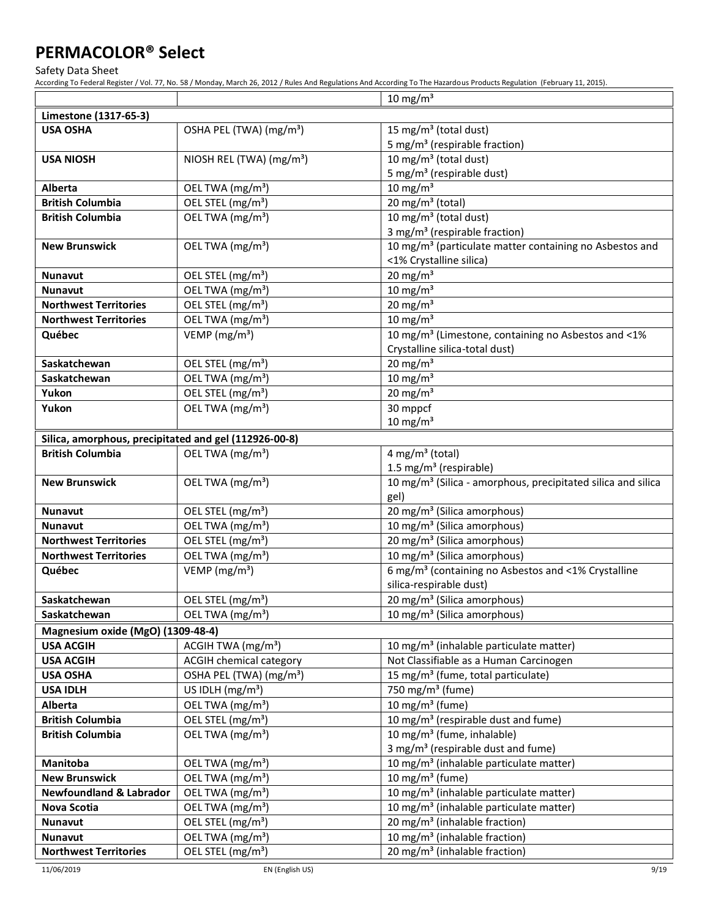Safety Data Sheet

According To Federal Register / Vol. 77, No. 58 / Monday, March 26, 2012 / Rules And Regulations And According To The Hazardous Products Regulation (February 11, 2015).

|                                                       |                                                               | $10 \text{ mg/m}^3$                                                                                        |
|-------------------------------------------------------|---------------------------------------------------------------|------------------------------------------------------------------------------------------------------------|
| Limestone (1317-65-3)                                 |                                                               |                                                                                                            |
| <b>USA OSHA</b>                                       | OSHA PEL (TWA) (mg/m <sup>3</sup> )                           | 15 mg/m <sup>3</sup> (total dust)                                                                          |
|                                                       |                                                               | 5 mg/m <sup>3</sup> (respirable fraction)                                                                  |
| <b>USA NIOSH</b>                                      | NIOSH REL (TWA) (mg/m <sup>3</sup> )                          | 10 mg/m <sup>3</sup> (total dust)                                                                          |
|                                                       |                                                               | 5 mg/m <sup>3</sup> (respirable dust)                                                                      |
| Alberta                                               | OEL TWA (mg/m <sup>3</sup> )                                  | 10 mg/m $3$                                                                                                |
| <b>British Columbia</b>                               | OEL STEL (mg/m <sup>3</sup> )                                 | 20 mg/m $3$ (total)                                                                                        |
| <b>British Columbia</b>                               | OEL TWA (mg/m <sup>3</sup> )                                  | 10 mg/m <sup>3</sup> (total dust)                                                                          |
|                                                       |                                                               | 3 mg/m <sup>3</sup> (respirable fraction)                                                                  |
| <b>New Brunswick</b>                                  | OEL TWA (mg/m <sup>3</sup> )                                  | 10 mg/m <sup>3</sup> (particulate matter containing no Asbestos and                                        |
|                                                       |                                                               | <1% Crystalline silica)                                                                                    |
| <b>Nunavut</b>                                        | OEL STEL (mg/m <sup>3</sup> )                                 | 20 mg/m $3$                                                                                                |
| <b>Nunavut</b>                                        | OEL TWA (mg/m <sup>3</sup> )                                  | $10 \text{ mg/m}^3$                                                                                        |
| <b>Northwest Territories</b>                          | OEL STEL (mg/m <sup>3</sup> )                                 | 20 mg/m $3$                                                                                                |
| <b>Northwest Territories</b>                          | OEL TWA (mg/m <sup>3</sup> )                                  | 10 mg/m $3$                                                                                                |
| Québec                                                | VEMP ( $mg/m3$ )                                              | 10 mg/m <sup>3</sup> (Limestone, containing no Asbestos and <1%                                            |
|                                                       |                                                               | Crystalline silica-total dust)                                                                             |
| Saskatchewan                                          | OEL STEL (mg/m <sup>3</sup> )                                 | $20$ mg/m <sup>3</sup>                                                                                     |
| Saskatchewan                                          | OEL TWA (mg/m <sup>3</sup> )<br>OEL STEL (mg/m <sup>3</sup> ) | $10 \text{ mg/m}^3$<br>20 mg/m $3$                                                                         |
| Yukon<br>Yukon                                        | OEL TWA (mg/m <sup>3</sup> )                                  | 30 mppcf                                                                                                   |
|                                                       |                                                               | $10 \text{ mg/m}^3$                                                                                        |
| Silica, amorphous, precipitated and gel (112926-00-8) |                                                               |                                                                                                            |
| <b>British Columbia</b>                               | OEL TWA (mg/m <sup>3</sup> )                                  | 4 mg/m <sup>3</sup> (total)                                                                                |
|                                                       |                                                               | 1.5 mg/m <sup>3</sup> (respirable)                                                                         |
| <b>New Brunswick</b>                                  | OEL TWA (mg/m <sup>3</sup> )                                  | 10 mg/m <sup>3</sup> (Silica - amorphous, precipitated silica and silica                                   |
|                                                       |                                                               | gel)                                                                                                       |
| <b>Nunavut</b>                                        | OEL STEL (mg/m <sup>3</sup> )                                 | 20 mg/m <sup>3</sup> (Silica amorphous)                                                                    |
| <b>Nunavut</b>                                        | OEL TWA (mg/m <sup>3</sup> )                                  | 10 mg/m <sup>3</sup> (Silica amorphous)                                                                    |
| <b>Northwest Territories</b>                          | OEL STEL (mg/m <sup>3</sup> )                                 | $\overline{20}$ mg/m <sup>3</sup> (Silica amorphous)                                                       |
| <b>Northwest Territories</b>                          | OEL TWA (mg/m <sup>3</sup> )                                  | 10 mg/m <sup>3</sup> (Silica amorphous)                                                                    |
| Québec                                                | VEMP (mg/m <sup>3</sup> )                                     | 6 mg/m <sup>3</sup> (containing no Asbestos and <1% Crystalline                                            |
|                                                       |                                                               | silica-respirable dust)                                                                                    |
| Saskatchewan                                          | OEL STEL (mg/m <sup>3</sup> )                                 | 20 mg/m <sup>3</sup> (Silica amorphous)                                                                    |
| Saskatchewan                                          | OEL TWA (mg/m <sup>3</sup> )                                  | 10 mg/m <sup>3</sup> (Silica amorphous)                                                                    |
| Magnesium oxide (MgO) (1309-48-4)                     |                                                               |                                                                                                            |
| <b>USA ACGIH</b>                                      | ACGIH TWA (mg/m <sup>3</sup> )                                | 10 mg/m <sup>3</sup> (inhalable particulate matter)                                                        |
| <b>USA ACGIH</b>                                      | <b>ACGIH chemical category</b>                                | Not Classifiable as a Human Carcinogen                                                                     |
| <b>USA OSHA</b>                                       | OSHA PEL (TWA) (mg/m <sup>3</sup> )                           | 15 mg/m <sup>3</sup> (fume, total particulate)                                                             |
| <b>USA IDLH</b>                                       | US IDLH $(mg/m3)$                                             | 750 mg/m <sup>3</sup> (fume)                                                                               |
| Alberta                                               | OEL TWA (mg/m <sup>3</sup> )                                  | 10 mg/m <sup>3</sup> (fume)                                                                                |
| <b>British Columbia</b>                               | OEL STEL (mg/m <sup>3</sup> )                                 | 10 mg/m <sup>3</sup> (respirable dust and fume)                                                            |
| <b>British Columbia</b>                               | OEL TWA (mg/m <sup>3</sup> )                                  | 10 mg/m <sup>3</sup> (fume, inhalable)                                                                     |
|                                                       |                                                               | 3 mg/m <sup>3</sup> (respirable dust and fume)                                                             |
| Manitoba<br><b>New Brunswick</b>                      | OEL TWA (mg/m <sup>3</sup> )                                  | 10 mg/m <sup>3</sup> (inhalable particulate matter)                                                        |
|                                                       | OEL TWA (mg/m <sup>3</sup> )                                  | 10 mg/m $3$ (fume)                                                                                         |
| <b>Newfoundland &amp; Labrador</b><br>Nova Scotia     | OEL TWA (mg/m <sup>3</sup> )<br>OEL TWA (mg/m <sup>3</sup> )  | 10 mg/m <sup>3</sup> (inhalable particulate matter)<br>10 mg/m <sup>3</sup> (inhalable particulate matter) |
| <b>Nunavut</b>                                        | OEL STEL (mg/m <sup>3</sup> )                                 | 20 mg/m <sup>3</sup> (inhalable fraction)                                                                  |
| Nunavut                                               | OEL TWA (mg/m <sup>3</sup> )                                  | 10 mg/m <sup>3</sup> (inhalable fraction)                                                                  |
| <b>Northwest Territories</b>                          | OEL STEL (mg/m <sup>3</sup> )                                 | 20 mg/m <sup>3</sup> (inhalable fraction)                                                                  |
|                                                       |                                                               |                                                                                                            |

11/06/2019 EN (English US) 9/19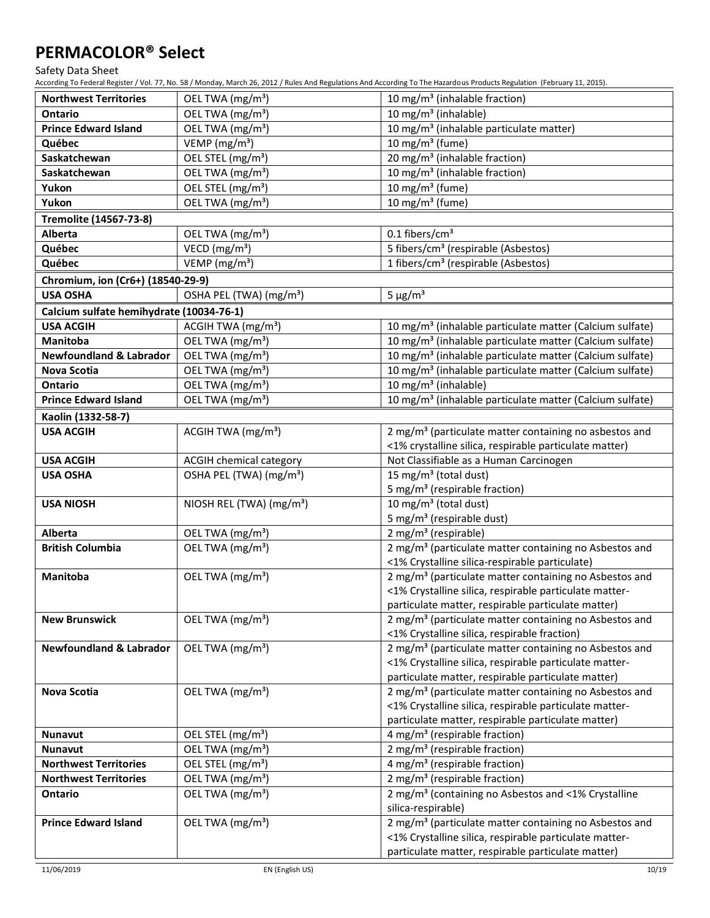Safety Data Sheet

| <b>Northwest Territories</b>             | OEL TWA (mg/m <sup>3</sup> )         | 10 mg/m <sup>3</sup> (inhalable fraction)                                                                                    |
|------------------------------------------|--------------------------------------|------------------------------------------------------------------------------------------------------------------------------|
| <b>Ontario</b>                           | OEL TWA (mg/m <sup>3</sup> )         | 10 mg/m <sup>3</sup> (inhalable)                                                                                             |
| <b>Prince Edward Island</b>              | OEL TWA (mg/m <sup>3</sup> )         | 10 mg/m <sup>3</sup> (inhalable particulate matter)                                                                          |
| Québec                                   | VEMP ( $mg/m3$ )                     | 10 mg/m <sup>3</sup> (fume)                                                                                                  |
| Saskatchewan                             | OEL STEL (mg/m <sup>3</sup> )        | 20 mg/m <sup>3</sup> (inhalable fraction)                                                                                    |
| Saskatchewan                             | OEL TWA (mg/m <sup>3</sup> )         | $\overline{10}$ mg/m <sup>3</sup> (inhalable fraction)                                                                       |
| Yukon                                    | OEL STEL (mg/m <sup>3</sup> )        | 10 mg/m $3$ (fume)                                                                                                           |
| Yukon                                    | OEL TWA (mg/m <sup>3</sup> )         | 10 mg/m <sup>3</sup> (fume)                                                                                                  |
| Tremolite (14567-73-8)                   |                                      |                                                                                                                              |
| Alberta                                  | OEL TWA (mg/m <sup>3</sup> )         | 0.1 fibers/cm <sup>3</sup>                                                                                                   |
| Québec                                   | VECD (mg/m <sup>3</sup> )            | 5 fibers/cm <sup>3</sup> (respirable (Asbestos)                                                                              |
| Québec                                   | VEMP ( $mg/m3$ )                     | 1 fibers/cm <sup>3</sup> (respirable (Asbestos)                                                                              |
| Chromium, ion (Cr6+) (18540-29-9)        |                                      |                                                                                                                              |
| <b>USA OSHA</b>                          | OSHA PEL (TWA) (mg/m <sup>3</sup> )  | $5 \mu g/m^3$                                                                                                                |
| Calcium sulfate hemihydrate (10034-76-1) |                                      |                                                                                                                              |
| <b>USA ACGIH</b>                         | ACGIH TWA $(mg/m3)$                  | 10 mg/m <sup>3</sup> (inhalable particulate matter (Calcium sulfate)                                                         |
| Manitoba                                 | OEL TWA (mg/m <sup>3</sup> )         | 10 mg/m <sup>3</sup> (inhalable particulate matter (Calcium sulfate)                                                         |
| <b>Newfoundland &amp; Labrador</b>       | OEL TWA (mg/m <sup>3</sup> )         | 10 mg/m <sup>3</sup> (inhalable particulate matter (Calcium sulfate)                                                         |
| Nova Scotia                              | OEL TWA (mg/m <sup>3</sup> )         | 10 mg/m <sup>3</sup> (inhalable particulate matter (Calcium sulfate)                                                         |
| Ontario                                  | OEL TWA (mg/m <sup>3</sup> )         | 10 mg/m <sup>3</sup> (inhalable)                                                                                             |
| <b>Prince Edward Island</b>              | OEL TWA (mg/m <sup>3</sup> )         | 10 mg/m <sup>3</sup> (inhalable particulate matter (Calcium sulfate)                                                         |
|                                          |                                      |                                                                                                                              |
| Kaolin (1332-58-7)                       |                                      |                                                                                                                              |
| <b>USA ACGIH</b>                         | ACGIH TWA (mg/m <sup>3</sup> )       | 2 mg/m <sup>3</sup> (particulate matter containing no asbestos and<br><1% crystalline silica, respirable particulate matter) |
| <b>USA ACGIH</b>                         | <b>ACGIH chemical category</b>       | Not Classifiable as a Human Carcinogen                                                                                       |
| <b>USA OSHA</b>                          | OSHA PEL (TWA) (mg/m <sup>3</sup> )  | 15 mg/m <sup>3</sup> (total dust)                                                                                            |
|                                          |                                      | 5 mg/m <sup>3</sup> (respirable fraction)                                                                                    |
| <b>USA NIOSH</b>                         | NIOSH REL (TWA) (mg/m <sup>3</sup> ) | 10 mg/m $3$ (total dust)                                                                                                     |
|                                          |                                      | 5 mg/m <sup>3</sup> (respirable dust)                                                                                        |
| Alberta                                  | OEL TWA (mg/m <sup>3</sup> )         | 2 mg/m <sup>3</sup> (respirable)                                                                                             |
| <b>British Columbia</b>                  | OEL TWA (mg/m <sup>3</sup> )         | 2 mg/m <sup>3</sup> (particulate matter containing no Asbestos and<br><1% Crystalline silica-respirable particulate)         |
| Manitoba                                 | OEL TWA (mg/m <sup>3</sup> )         | 2 mg/m <sup>3</sup> (particulate matter containing no Asbestos and                                                           |
|                                          |                                      | <1% Crystalline silica, respirable particulate matter-                                                                       |
|                                          |                                      | particulate matter, respirable particulate matter)                                                                           |
| <b>New Brunswick</b>                     | OEL TWA (mg/m <sup>3</sup> )         | 2 mg/m <sup>3</sup> (particulate matter containing no Asbestos and                                                           |
|                                          |                                      | <1% Crystalline silica, respirable fraction)                                                                                 |
| <b>Newfoundland &amp; Labrador</b>       | OEL TWA (mg/m <sup>3</sup> )         | 2 mg/m <sup>3</sup> (particulate matter containing no Asbestos and                                                           |
|                                          |                                      | <1% Crystalline silica, respirable particulate matter-                                                                       |
|                                          |                                      | particulate matter, respirable particulate matter)                                                                           |
| Nova Scotia                              | OEL TWA (mg/m <sup>3</sup> )         | 2 mg/m <sup>3</sup> (particulate matter containing no Asbestos and                                                           |
|                                          |                                      | <1% Crystalline silica, respirable particulate matter-                                                                       |
|                                          |                                      | particulate matter, respirable particulate matter)                                                                           |
| <b>Nunavut</b>                           | OEL STEL (mg/m <sup>3</sup> )        | 4 mg/m <sup>3</sup> (respirable fraction)                                                                                    |
| <b>Nunavut</b>                           | OEL TWA (mg/m <sup>3</sup> )         | 2 mg/m <sup>3</sup> (respirable fraction)                                                                                    |
| <b>Northwest Territories</b>             | OEL STEL (mg/m <sup>3</sup> )        | 4 mg/m <sup>3</sup> (respirable fraction)                                                                                    |
| <b>Northwest Territories</b>             | OEL TWA (mg/m <sup>3</sup> )         | 2 mg/m <sup>3</sup> (respirable fraction)                                                                                    |
| Ontario                                  | OEL TWA (mg/m <sup>3</sup> )         | 2 mg/m <sup>3</sup> (containing no Asbestos and <1% Crystalline                                                              |
|                                          |                                      | silica-respirable)                                                                                                           |
| <b>Prince Edward Island</b>              | OEL TWA (mg/m <sup>3</sup> )         | 2 mg/m <sup>3</sup> (particulate matter containing no Asbestos and                                                           |
|                                          |                                      | <1% Crystalline silica, respirable particulate matter-                                                                       |
|                                          |                                      | particulate matter, respirable particulate matter)                                                                           |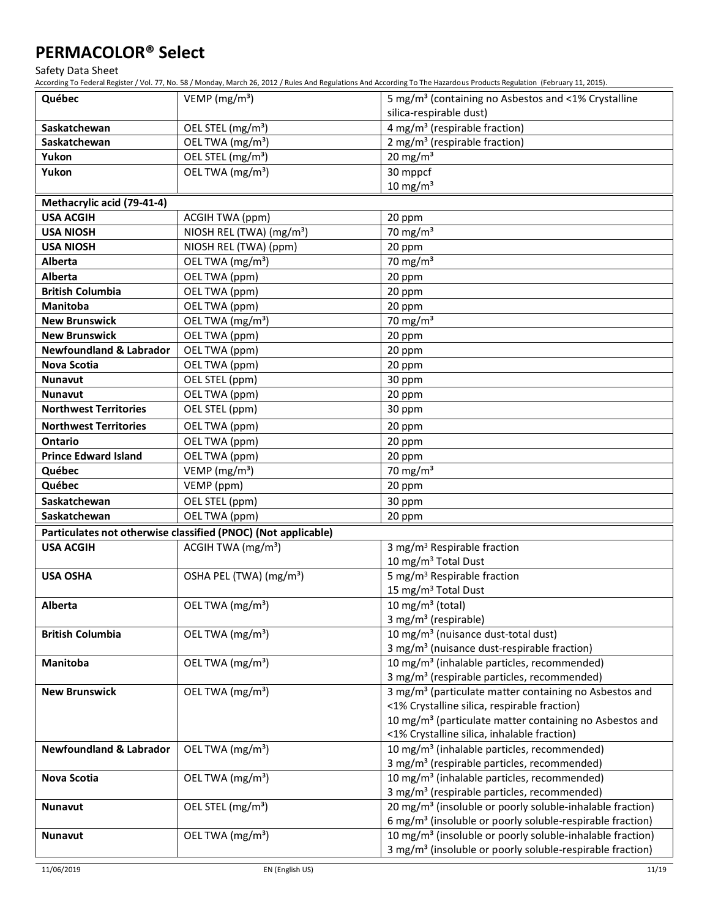Safety Data Sheet

| silica-respirable dust)<br>$\frac{4 \text{ mg}}{m^3}$ (respirable fraction)<br>OEL STEL (mg/m <sup>3</sup> )<br>Saskatchewan<br>2 mg/m <sup>3</sup> (respirable fraction)<br>OEL TWA (mg/m <sup>3</sup> )<br>Saskatchewan<br>20 mg/m $3$<br>OEL STEL (mg/m <sup>3</sup> )<br>Yukon<br>30 mppcf<br>Yukon<br>OEL TWA (mg/m <sup>3</sup> )<br>10 mg/m $3$<br>Methacrylic acid (79-41-4)<br><b>USA ACGIH</b><br>ACGIH TWA (ppm)<br>20 ppm<br>NIOSH REL (TWA) (mg/m <sup>3</sup> )<br>70 mg/m $3$<br><b>USA NIOSH</b><br><b>USA NIOSH</b><br>NIOSH REL (TWA) (ppm)<br>20 ppm<br>70 mg/m $3$<br><b>Alberta</b><br>OEL TWA (mg/m <sup>3</sup> )<br><b>Alberta</b><br>OEL TWA (ppm)<br>20 ppm<br>20 ppm<br>OEL TWA (ppm)<br><b>British Columbia</b><br>Manitoba<br>OEL TWA (ppm)<br>20 ppm<br>70 mg/m $3$<br>OEL TWA (mg/m <sup>3</sup> )<br><b>New Brunswick</b><br><b>New Brunswick</b><br>20 ppm<br>OEL TWA (ppm)<br><b>Newfoundland &amp; Labrador</b><br>OEL TWA (ppm)<br>20 ppm<br>OEL TWA (ppm)<br><b>Nova Scotia</b><br>20 ppm<br>Nunavut<br>OEL STEL (ppm)<br>30 ppm<br><b>Nunavut</b><br>OEL TWA (ppm)<br>20 ppm<br><b>Northwest Territories</b><br>OEL STEL (ppm)<br>30 ppm<br><b>Northwest Territories</b><br>OEL TWA (ppm)<br>20 ppm<br>Ontario<br>OEL TWA (ppm)<br>20 ppm<br><b>Prince Edward Island</b><br>OEL TWA (ppm)<br>20 ppm<br>VEMP (mg/m <sup>3</sup> )<br>70 mg/m $3$<br>Québec<br>Québec<br>VEMP (ppm)<br>20 ppm<br>OEL STEL (ppm)<br>Saskatchewan<br>30 ppm<br>Saskatchewan<br>OEL TWA (ppm)<br>20 ppm<br>Particulates not otherwise classified (PNOC) (Not applicable)<br>ACGIH TWA (mg/m <sup>3</sup> )<br>3 mg/m <sup>3</sup> Respirable fraction<br><b>USA ACGIH</b><br>10 mg/m <sup>3</sup> Total Dust<br>5 mg/m <sup>3</sup> Respirable fraction<br>OSHA PEL (TWA) (mg/m <sup>3</sup> )<br><b>USA OSHA</b><br>15 mg/m <sup>3</sup> Total Dust<br>10 mg/m $3$ (total)<br>OEL TWA (mg/m <sup>3</sup> )<br>Alberta<br>3 mg/m <sup>3</sup> (respirable)<br>OEL TWA (mg/m <sup>3</sup> )<br>10 mg/m <sup>3</sup> (nuisance dust-total dust)<br><b>British Columbia</b><br>3 mg/m <sup>3</sup> (nuisance dust-respirable fraction)<br>OEL TWA (mg/m <sup>3</sup> )<br>10 mg/m <sup>3</sup> (inhalable particles, recommended)<br><b>Manitoba</b><br>3 mg/m <sup>3</sup> (respirable particles, recommended)<br>OEL TWA (mg/m <sup>3</sup> )<br>3 mg/m <sup>3</sup> (particulate matter containing no Asbestos and<br><b>New Brunswick</b><br><1% Crystalline silica, respirable fraction)<br>10 mg/m <sup>3</sup> (particulate matter containing no Asbestos and<br><1% Crystalline silica, inhalable fraction)<br>OEL TWA (mg/m <sup>3</sup> )<br><b>Newfoundland &amp; Labrador</b><br>10 mg/m <sup>3</sup> (inhalable particles, recommended)<br>3 mg/m <sup>3</sup> (respirable particles, recommended)<br>10 mg/m <sup>3</sup> (inhalable particles, recommended)<br>OEL TWA (mg/m <sup>3</sup> )<br>Nova Scotia<br>3 mg/m <sup>3</sup> (respirable particles, recommended)<br>OEL STEL (mg/m <sup>3</sup> )<br>20 mg/m <sup>3</sup> (insoluble or poorly soluble-inhalable fraction)<br><b>Nunavut</b><br>6 mg/m <sup>3</sup> (insoluble or poorly soluble-respirable fraction) | Québec | VEMP ( $mg/m3$ ) | 5 mg/m <sup>3</sup> (containing no Asbestos and <1% Crystalline |
|---------------------------------------------------------------------------------------------------------------------------------------------------------------------------------------------------------------------------------------------------------------------------------------------------------------------------------------------------------------------------------------------------------------------------------------------------------------------------------------------------------------------------------------------------------------------------------------------------------------------------------------------------------------------------------------------------------------------------------------------------------------------------------------------------------------------------------------------------------------------------------------------------------------------------------------------------------------------------------------------------------------------------------------------------------------------------------------------------------------------------------------------------------------------------------------------------------------------------------------------------------------------------------------------------------------------------------------------------------------------------------------------------------------------------------------------------------------------------------------------------------------------------------------------------------------------------------------------------------------------------------------------------------------------------------------------------------------------------------------------------------------------------------------------------------------------------------------------------------------------------------------------------------------------------------------------------------------------------------------------------------------------------------------------------------------------------------------------------------------------------------------------------------------------------------------------------------------------------------------------------------------------------------------------------------------------------------------------------------------------------------------------------------------------------------------------------------------------------------------------------------------------------------------------------------------------------------------------------------------------------------------------------------------------------------------------------------------------------------------------------------------------------------------------------------------------------------------------------------------------------------------------------------------------------------------------------------------------------------------------------------------------------------------------------------------------------------------------------------------------------------------------------------------------------------------------------------|--------|------------------|-----------------------------------------------------------------|
|                                                                                                                                                                                                                                                                                                                                                                                                                                                                                                                                                                                                                                                                                                                                                                                                                                                                                                                                                                                                                                                                                                                                                                                                                                                                                                                                                                                                                                                                                                                                                                                                                                                                                                                                                                                                                                                                                                                                                                                                                                                                                                                                                                                                                                                                                                                                                                                                                                                                                                                                                                                                                                                                                                                                                                                                                                                                                                                                                                                                                                                                                                                                                                                                         |        |                  |                                                                 |
|                                                                                                                                                                                                                                                                                                                                                                                                                                                                                                                                                                                                                                                                                                                                                                                                                                                                                                                                                                                                                                                                                                                                                                                                                                                                                                                                                                                                                                                                                                                                                                                                                                                                                                                                                                                                                                                                                                                                                                                                                                                                                                                                                                                                                                                                                                                                                                                                                                                                                                                                                                                                                                                                                                                                                                                                                                                                                                                                                                                                                                                                                                                                                                                                         |        |                  |                                                                 |
|                                                                                                                                                                                                                                                                                                                                                                                                                                                                                                                                                                                                                                                                                                                                                                                                                                                                                                                                                                                                                                                                                                                                                                                                                                                                                                                                                                                                                                                                                                                                                                                                                                                                                                                                                                                                                                                                                                                                                                                                                                                                                                                                                                                                                                                                                                                                                                                                                                                                                                                                                                                                                                                                                                                                                                                                                                                                                                                                                                                                                                                                                                                                                                                                         |        |                  |                                                                 |
|                                                                                                                                                                                                                                                                                                                                                                                                                                                                                                                                                                                                                                                                                                                                                                                                                                                                                                                                                                                                                                                                                                                                                                                                                                                                                                                                                                                                                                                                                                                                                                                                                                                                                                                                                                                                                                                                                                                                                                                                                                                                                                                                                                                                                                                                                                                                                                                                                                                                                                                                                                                                                                                                                                                                                                                                                                                                                                                                                                                                                                                                                                                                                                                                         |        |                  |                                                                 |
|                                                                                                                                                                                                                                                                                                                                                                                                                                                                                                                                                                                                                                                                                                                                                                                                                                                                                                                                                                                                                                                                                                                                                                                                                                                                                                                                                                                                                                                                                                                                                                                                                                                                                                                                                                                                                                                                                                                                                                                                                                                                                                                                                                                                                                                                                                                                                                                                                                                                                                                                                                                                                                                                                                                                                                                                                                                                                                                                                                                                                                                                                                                                                                                                         |        |                  |                                                                 |
|                                                                                                                                                                                                                                                                                                                                                                                                                                                                                                                                                                                                                                                                                                                                                                                                                                                                                                                                                                                                                                                                                                                                                                                                                                                                                                                                                                                                                                                                                                                                                                                                                                                                                                                                                                                                                                                                                                                                                                                                                                                                                                                                                                                                                                                                                                                                                                                                                                                                                                                                                                                                                                                                                                                                                                                                                                                                                                                                                                                                                                                                                                                                                                                                         |        |                  |                                                                 |
|                                                                                                                                                                                                                                                                                                                                                                                                                                                                                                                                                                                                                                                                                                                                                                                                                                                                                                                                                                                                                                                                                                                                                                                                                                                                                                                                                                                                                                                                                                                                                                                                                                                                                                                                                                                                                                                                                                                                                                                                                                                                                                                                                                                                                                                                                                                                                                                                                                                                                                                                                                                                                                                                                                                                                                                                                                                                                                                                                                                                                                                                                                                                                                                                         |        |                  |                                                                 |
|                                                                                                                                                                                                                                                                                                                                                                                                                                                                                                                                                                                                                                                                                                                                                                                                                                                                                                                                                                                                                                                                                                                                                                                                                                                                                                                                                                                                                                                                                                                                                                                                                                                                                                                                                                                                                                                                                                                                                                                                                                                                                                                                                                                                                                                                                                                                                                                                                                                                                                                                                                                                                                                                                                                                                                                                                                                                                                                                                                                                                                                                                                                                                                                                         |        |                  |                                                                 |
|                                                                                                                                                                                                                                                                                                                                                                                                                                                                                                                                                                                                                                                                                                                                                                                                                                                                                                                                                                                                                                                                                                                                                                                                                                                                                                                                                                                                                                                                                                                                                                                                                                                                                                                                                                                                                                                                                                                                                                                                                                                                                                                                                                                                                                                                                                                                                                                                                                                                                                                                                                                                                                                                                                                                                                                                                                                                                                                                                                                                                                                                                                                                                                                                         |        |                  |                                                                 |
|                                                                                                                                                                                                                                                                                                                                                                                                                                                                                                                                                                                                                                                                                                                                                                                                                                                                                                                                                                                                                                                                                                                                                                                                                                                                                                                                                                                                                                                                                                                                                                                                                                                                                                                                                                                                                                                                                                                                                                                                                                                                                                                                                                                                                                                                                                                                                                                                                                                                                                                                                                                                                                                                                                                                                                                                                                                                                                                                                                                                                                                                                                                                                                                                         |        |                  |                                                                 |
|                                                                                                                                                                                                                                                                                                                                                                                                                                                                                                                                                                                                                                                                                                                                                                                                                                                                                                                                                                                                                                                                                                                                                                                                                                                                                                                                                                                                                                                                                                                                                                                                                                                                                                                                                                                                                                                                                                                                                                                                                                                                                                                                                                                                                                                                                                                                                                                                                                                                                                                                                                                                                                                                                                                                                                                                                                                                                                                                                                                                                                                                                                                                                                                                         |        |                  |                                                                 |
|                                                                                                                                                                                                                                                                                                                                                                                                                                                                                                                                                                                                                                                                                                                                                                                                                                                                                                                                                                                                                                                                                                                                                                                                                                                                                                                                                                                                                                                                                                                                                                                                                                                                                                                                                                                                                                                                                                                                                                                                                                                                                                                                                                                                                                                                                                                                                                                                                                                                                                                                                                                                                                                                                                                                                                                                                                                                                                                                                                                                                                                                                                                                                                                                         |        |                  |                                                                 |
|                                                                                                                                                                                                                                                                                                                                                                                                                                                                                                                                                                                                                                                                                                                                                                                                                                                                                                                                                                                                                                                                                                                                                                                                                                                                                                                                                                                                                                                                                                                                                                                                                                                                                                                                                                                                                                                                                                                                                                                                                                                                                                                                                                                                                                                                                                                                                                                                                                                                                                                                                                                                                                                                                                                                                                                                                                                                                                                                                                                                                                                                                                                                                                                                         |        |                  |                                                                 |
|                                                                                                                                                                                                                                                                                                                                                                                                                                                                                                                                                                                                                                                                                                                                                                                                                                                                                                                                                                                                                                                                                                                                                                                                                                                                                                                                                                                                                                                                                                                                                                                                                                                                                                                                                                                                                                                                                                                                                                                                                                                                                                                                                                                                                                                                                                                                                                                                                                                                                                                                                                                                                                                                                                                                                                                                                                                                                                                                                                                                                                                                                                                                                                                                         |        |                  |                                                                 |
|                                                                                                                                                                                                                                                                                                                                                                                                                                                                                                                                                                                                                                                                                                                                                                                                                                                                                                                                                                                                                                                                                                                                                                                                                                                                                                                                                                                                                                                                                                                                                                                                                                                                                                                                                                                                                                                                                                                                                                                                                                                                                                                                                                                                                                                                                                                                                                                                                                                                                                                                                                                                                                                                                                                                                                                                                                                                                                                                                                                                                                                                                                                                                                                                         |        |                  |                                                                 |
|                                                                                                                                                                                                                                                                                                                                                                                                                                                                                                                                                                                                                                                                                                                                                                                                                                                                                                                                                                                                                                                                                                                                                                                                                                                                                                                                                                                                                                                                                                                                                                                                                                                                                                                                                                                                                                                                                                                                                                                                                                                                                                                                                                                                                                                                                                                                                                                                                                                                                                                                                                                                                                                                                                                                                                                                                                                                                                                                                                                                                                                                                                                                                                                                         |        |                  |                                                                 |
|                                                                                                                                                                                                                                                                                                                                                                                                                                                                                                                                                                                                                                                                                                                                                                                                                                                                                                                                                                                                                                                                                                                                                                                                                                                                                                                                                                                                                                                                                                                                                                                                                                                                                                                                                                                                                                                                                                                                                                                                                                                                                                                                                                                                                                                                                                                                                                                                                                                                                                                                                                                                                                                                                                                                                                                                                                                                                                                                                                                                                                                                                                                                                                                                         |        |                  |                                                                 |
|                                                                                                                                                                                                                                                                                                                                                                                                                                                                                                                                                                                                                                                                                                                                                                                                                                                                                                                                                                                                                                                                                                                                                                                                                                                                                                                                                                                                                                                                                                                                                                                                                                                                                                                                                                                                                                                                                                                                                                                                                                                                                                                                                                                                                                                                                                                                                                                                                                                                                                                                                                                                                                                                                                                                                                                                                                                                                                                                                                                                                                                                                                                                                                                                         |        |                  |                                                                 |
|                                                                                                                                                                                                                                                                                                                                                                                                                                                                                                                                                                                                                                                                                                                                                                                                                                                                                                                                                                                                                                                                                                                                                                                                                                                                                                                                                                                                                                                                                                                                                                                                                                                                                                                                                                                                                                                                                                                                                                                                                                                                                                                                                                                                                                                                                                                                                                                                                                                                                                                                                                                                                                                                                                                                                                                                                                                                                                                                                                                                                                                                                                                                                                                                         |        |                  |                                                                 |
|                                                                                                                                                                                                                                                                                                                                                                                                                                                                                                                                                                                                                                                                                                                                                                                                                                                                                                                                                                                                                                                                                                                                                                                                                                                                                                                                                                                                                                                                                                                                                                                                                                                                                                                                                                                                                                                                                                                                                                                                                                                                                                                                                                                                                                                                                                                                                                                                                                                                                                                                                                                                                                                                                                                                                                                                                                                                                                                                                                                                                                                                                                                                                                                                         |        |                  |                                                                 |
|                                                                                                                                                                                                                                                                                                                                                                                                                                                                                                                                                                                                                                                                                                                                                                                                                                                                                                                                                                                                                                                                                                                                                                                                                                                                                                                                                                                                                                                                                                                                                                                                                                                                                                                                                                                                                                                                                                                                                                                                                                                                                                                                                                                                                                                                                                                                                                                                                                                                                                                                                                                                                                                                                                                                                                                                                                                                                                                                                                                                                                                                                                                                                                                                         |        |                  |                                                                 |
|                                                                                                                                                                                                                                                                                                                                                                                                                                                                                                                                                                                                                                                                                                                                                                                                                                                                                                                                                                                                                                                                                                                                                                                                                                                                                                                                                                                                                                                                                                                                                                                                                                                                                                                                                                                                                                                                                                                                                                                                                                                                                                                                                                                                                                                                                                                                                                                                                                                                                                                                                                                                                                                                                                                                                                                                                                                                                                                                                                                                                                                                                                                                                                                                         |        |                  |                                                                 |
|                                                                                                                                                                                                                                                                                                                                                                                                                                                                                                                                                                                                                                                                                                                                                                                                                                                                                                                                                                                                                                                                                                                                                                                                                                                                                                                                                                                                                                                                                                                                                                                                                                                                                                                                                                                                                                                                                                                                                                                                                                                                                                                                                                                                                                                                                                                                                                                                                                                                                                                                                                                                                                                                                                                                                                                                                                                                                                                                                                                                                                                                                                                                                                                                         |        |                  |                                                                 |
|                                                                                                                                                                                                                                                                                                                                                                                                                                                                                                                                                                                                                                                                                                                                                                                                                                                                                                                                                                                                                                                                                                                                                                                                                                                                                                                                                                                                                                                                                                                                                                                                                                                                                                                                                                                                                                                                                                                                                                                                                                                                                                                                                                                                                                                                                                                                                                                                                                                                                                                                                                                                                                                                                                                                                                                                                                                                                                                                                                                                                                                                                                                                                                                                         |        |                  |                                                                 |
|                                                                                                                                                                                                                                                                                                                                                                                                                                                                                                                                                                                                                                                                                                                                                                                                                                                                                                                                                                                                                                                                                                                                                                                                                                                                                                                                                                                                                                                                                                                                                                                                                                                                                                                                                                                                                                                                                                                                                                                                                                                                                                                                                                                                                                                                                                                                                                                                                                                                                                                                                                                                                                                                                                                                                                                                                                                                                                                                                                                                                                                                                                                                                                                                         |        |                  |                                                                 |
|                                                                                                                                                                                                                                                                                                                                                                                                                                                                                                                                                                                                                                                                                                                                                                                                                                                                                                                                                                                                                                                                                                                                                                                                                                                                                                                                                                                                                                                                                                                                                                                                                                                                                                                                                                                                                                                                                                                                                                                                                                                                                                                                                                                                                                                                                                                                                                                                                                                                                                                                                                                                                                                                                                                                                                                                                                                                                                                                                                                                                                                                                                                                                                                                         |        |                  |                                                                 |
|                                                                                                                                                                                                                                                                                                                                                                                                                                                                                                                                                                                                                                                                                                                                                                                                                                                                                                                                                                                                                                                                                                                                                                                                                                                                                                                                                                                                                                                                                                                                                                                                                                                                                                                                                                                                                                                                                                                                                                                                                                                                                                                                                                                                                                                                                                                                                                                                                                                                                                                                                                                                                                                                                                                                                                                                                                                                                                                                                                                                                                                                                                                                                                                                         |        |                  |                                                                 |
|                                                                                                                                                                                                                                                                                                                                                                                                                                                                                                                                                                                                                                                                                                                                                                                                                                                                                                                                                                                                                                                                                                                                                                                                                                                                                                                                                                                                                                                                                                                                                                                                                                                                                                                                                                                                                                                                                                                                                                                                                                                                                                                                                                                                                                                                                                                                                                                                                                                                                                                                                                                                                                                                                                                                                                                                                                                                                                                                                                                                                                                                                                                                                                                                         |        |                  |                                                                 |
|                                                                                                                                                                                                                                                                                                                                                                                                                                                                                                                                                                                                                                                                                                                                                                                                                                                                                                                                                                                                                                                                                                                                                                                                                                                                                                                                                                                                                                                                                                                                                                                                                                                                                                                                                                                                                                                                                                                                                                                                                                                                                                                                                                                                                                                                                                                                                                                                                                                                                                                                                                                                                                                                                                                                                                                                                                                                                                                                                                                                                                                                                                                                                                                                         |        |                  |                                                                 |
|                                                                                                                                                                                                                                                                                                                                                                                                                                                                                                                                                                                                                                                                                                                                                                                                                                                                                                                                                                                                                                                                                                                                                                                                                                                                                                                                                                                                                                                                                                                                                                                                                                                                                                                                                                                                                                                                                                                                                                                                                                                                                                                                                                                                                                                                                                                                                                                                                                                                                                                                                                                                                                                                                                                                                                                                                                                                                                                                                                                                                                                                                                                                                                                                         |        |                  |                                                                 |
|                                                                                                                                                                                                                                                                                                                                                                                                                                                                                                                                                                                                                                                                                                                                                                                                                                                                                                                                                                                                                                                                                                                                                                                                                                                                                                                                                                                                                                                                                                                                                                                                                                                                                                                                                                                                                                                                                                                                                                                                                                                                                                                                                                                                                                                                                                                                                                                                                                                                                                                                                                                                                                                                                                                                                                                                                                                                                                                                                                                                                                                                                                                                                                                                         |        |                  |                                                                 |
|                                                                                                                                                                                                                                                                                                                                                                                                                                                                                                                                                                                                                                                                                                                                                                                                                                                                                                                                                                                                                                                                                                                                                                                                                                                                                                                                                                                                                                                                                                                                                                                                                                                                                                                                                                                                                                                                                                                                                                                                                                                                                                                                                                                                                                                                                                                                                                                                                                                                                                                                                                                                                                                                                                                                                                                                                                                                                                                                                                                                                                                                                                                                                                                                         |        |                  |                                                                 |
|                                                                                                                                                                                                                                                                                                                                                                                                                                                                                                                                                                                                                                                                                                                                                                                                                                                                                                                                                                                                                                                                                                                                                                                                                                                                                                                                                                                                                                                                                                                                                                                                                                                                                                                                                                                                                                                                                                                                                                                                                                                                                                                                                                                                                                                                                                                                                                                                                                                                                                                                                                                                                                                                                                                                                                                                                                                                                                                                                                                                                                                                                                                                                                                                         |        |                  |                                                                 |
|                                                                                                                                                                                                                                                                                                                                                                                                                                                                                                                                                                                                                                                                                                                                                                                                                                                                                                                                                                                                                                                                                                                                                                                                                                                                                                                                                                                                                                                                                                                                                                                                                                                                                                                                                                                                                                                                                                                                                                                                                                                                                                                                                                                                                                                                                                                                                                                                                                                                                                                                                                                                                                                                                                                                                                                                                                                                                                                                                                                                                                                                                                                                                                                                         |        |                  |                                                                 |
|                                                                                                                                                                                                                                                                                                                                                                                                                                                                                                                                                                                                                                                                                                                                                                                                                                                                                                                                                                                                                                                                                                                                                                                                                                                                                                                                                                                                                                                                                                                                                                                                                                                                                                                                                                                                                                                                                                                                                                                                                                                                                                                                                                                                                                                                                                                                                                                                                                                                                                                                                                                                                                                                                                                                                                                                                                                                                                                                                                                                                                                                                                                                                                                                         |        |                  |                                                                 |
|                                                                                                                                                                                                                                                                                                                                                                                                                                                                                                                                                                                                                                                                                                                                                                                                                                                                                                                                                                                                                                                                                                                                                                                                                                                                                                                                                                                                                                                                                                                                                                                                                                                                                                                                                                                                                                                                                                                                                                                                                                                                                                                                                                                                                                                                                                                                                                                                                                                                                                                                                                                                                                                                                                                                                                                                                                                                                                                                                                                                                                                                                                                                                                                                         |        |                  |                                                                 |
|                                                                                                                                                                                                                                                                                                                                                                                                                                                                                                                                                                                                                                                                                                                                                                                                                                                                                                                                                                                                                                                                                                                                                                                                                                                                                                                                                                                                                                                                                                                                                                                                                                                                                                                                                                                                                                                                                                                                                                                                                                                                                                                                                                                                                                                                                                                                                                                                                                                                                                                                                                                                                                                                                                                                                                                                                                                                                                                                                                                                                                                                                                                                                                                                         |        |                  |                                                                 |
|                                                                                                                                                                                                                                                                                                                                                                                                                                                                                                                                                                                                                                                                                                                                                                                                                                                                                                                                                                                                                                                                                                                                                                                                                                                                                                                                                                                                                                                                                                                                                                                                                                                                                                                                                                                                                                                                                                                                                                                                                                                                                                                                                                                                                                                                                                                                                                                                                                                                                                                                                                                                                                                                                                                                                                                                                                                                                                                                                                                                                                                                                                                                                                                                         |        |                  |                                                                 |
|                                                                                                                                                                                                                                                                                                                                                                                                                                                                                                                                                                                                                                                                                                                                                                                                                                                                                                                                                                                                                                                                                                                                                                                                                                                                                                                                                                                                                                                                                                                                                                                                                                                                                                                                                                                                                                                                                                                                                                                                                                                                                                                                                                                                                                                                                                                                                                                                                                                                                                                                                                                                                                                                                                                                                                                                                                                                                                                                                                                                                                                                                                                                                                                                         |        |                  |                                                                 |
|                                                                                                                                                                                                                                                                                                                                                                                                                                                                                                                                                                                                                                                                                                                                                                                                                                                                                                                                                                                                                                                                                                                                                                                                                                                                                                                                                                                                                                                                                                                                                                                                                                                                                                                                                                                                                                                                                                                                                                                                                                                                                                                                                                                                                                                                                                                                                                                                                                                                                                                                                                                                                                                                                                                                                                                                                                                                                                                                                                                                                                                                                                                                                                                                         |        |                  |                                                                 |
|                                                                                                                                                                                                                                                                                                                                                                                                                                                                                                                                                                                                                                                                                                                                                                                                                                                                                                                                                                                                                                                                                                                                                                                                                                                                                                                                                                                                                                                                                                                                                                                                                                                                                                                                                                                                                                                                                                                                                                                                                                                                                                                                                                                                                                                                                                                                                                                                                                                                                                                                                                                                                                                                                                                                                                                                                                                                                                                                                                                                                                                                                                                                                                                                         |        |                  |                                                                 |
|                                                                                                                                                                                                                                                                                                                                                                                                                                                                                                                                                                                                                                                                                                                                                                                                                                                                                                                                                                                                                                                                                                                                                                                                                                                                                                                                                                                                                                                                                                                                                                                                                                                                                                                                                                                                                                                                                                                                                                                                                                                                                                                                                                                                                                                                                                                                                                                                                                                                                                                                                                                                                                                                                                                                                                                                                                                                                                                                                                                                                                                                                                                                                                                                         |        |                  |                                                                 |
|                                                                                                                                                                                                                                                                                                                                                                                                                                                                                                                                                                                                                                                                                                                                                                                                                                                                                                                                                                                                                                                                                                                                                                                                                                                                                                                                                                                                                                                                                                                                                                                                                                                                                                                                                                                                                                                                                                                                                                                                                                                                                                                                                                                                                                                                                                                                                                                                                                                                                                                                                                                                                                                                                                                                                                                                                                                                                                                                                                                                                                                                                                                                                                                                         |        |                  |                                                                 |
|                                                                                                                                                                                                                                                                                                                                                                                                                                                                                                                                                                                                                                                                                                                                                                                                                                                                                                                                                                                                                                                                                                                                                                                                                                                                                                                                                                                                                                                                                                                                                                                                                                                                                                                                                                                                                                                                                                                                                                                                                                                                                                                                                                                                                                                                                                                                                                                                                                                                                                                                                                                                                                                                                                                                                                                                                                                                                                                                                                                                                                                                                                                                                                                                         |        |                  |                                                                 |
|                                                                                                                                                                                                                                                                                                                                                                                                                                                                                                                                                                                                                                                                                                                                                                                                                                                                                                                                                                                                                                                                                                                                                                                                                                                                                                                                                                                                                                                                                                                                                                                                                                                                                                                                                                                                                                                                                                                                                                                                                                                                                                                                                                                                                                                                                                                                                                                                                                                                                                                                                                                                                                                                                                                                                                                                                                                                                                                                                                                                                                                                                                                                                                                                         |        |                  |                                                                 |
|                                                                                                                                                                                                                                                                                                                                                                                                                                                                                                                                                                                                                                                                                                                                                                                                                                                                                                                                                                                                                                                                                                                                                                                                                                                                                                                                                                                                                                                                                                                                                                                                                                                                                                                                                                                                                                                                                                                                                                                                                                                                                                                                                                                                                                                                                                                                                                                                                                                                                                                                                                                                                                                                                                                                                                                                                                                                                                                                                                                                                                                                                                                                                                                                         |        |                  |                                                                 |
|                                                                                                                                                                                                                                                                                                                                                                                                                                                                                                                                                                                                                                                                                                                                                                                                                                                                                                                                                                                                                                                                                                                                                                                                                                                                                                                                                                                                                                                                                                                                                                                                                                                                                                                                                                                                                                                                                                                                                                                                                                                                                                                                                                                                                                                                                                                                                                                                                                                                                                                                                                                                                                                                                                                                                                                                                                                                                                                                                                                                                                                                                                                                                                                                         |        |                  |                                                                 |
|                                                                                                                                                                                                                                                                                                                                                                                                                                                                                                                                                                                                                                                                                                                                                                                                                                                                                                                                                                                                                                                                                                                                                                                                                                                                                                                                                                                                                                                                                                                                                                                                                                                                                                                                                                                                                                                                                                                                                                                                                                                                                                                                                                                                                                                                                                                                                                                                                                                                                                                                                                                                                                                                                                                                                                                                                                                                                                                                                                                                                                                                                                                                                                                                         |        |                  |                                                                 |
| OEL TWA (mg/m <sup>3</sup> )<br>10 mg/m <sup>3</sup> (insoluble or poorly soluble-inhalable fraction)<br><b>Nunavut</b>                                                                                                                                                                                                                                                                                                                                                                                                                                                                                                                                                                                                                                                                                                                                                                                                                                                                                                                                                                                                                                                                                                                                                                                                                                                                                                                                                                                                                                                                                                                                                                                                                                                                                                                                                                                                                                                                                                                                                                                                                                                                                                                                                                                                                                                                                                                                                                                                                                                                                                                                                                                                                                                                                                                                                                                                                                                                                                                                                                                                                                                                                 |        |                  |                                                                 |
| 3 mg/m <sup>3</sup> (insoluble or poorly soluble-respirable fraction)                                                                                                                                                                                                                                                                                                                                                                                                                                                                                                                                                                                                                                                                                                                                                                                                                                                                                                                                                                                                                                                                                                                                                                                                                                                                                                                                                                                                                                                                                                                                                                                                                                                                                                                                                                                                                                                                                                                                                                                                                                                                                                                                                                                                                                                                                                                                                                                                                                                                                                                                                                                                                                                                                                                                                                                                                                                                                                                                                                                                                                                                                                                                   |        |                  |                                                                 |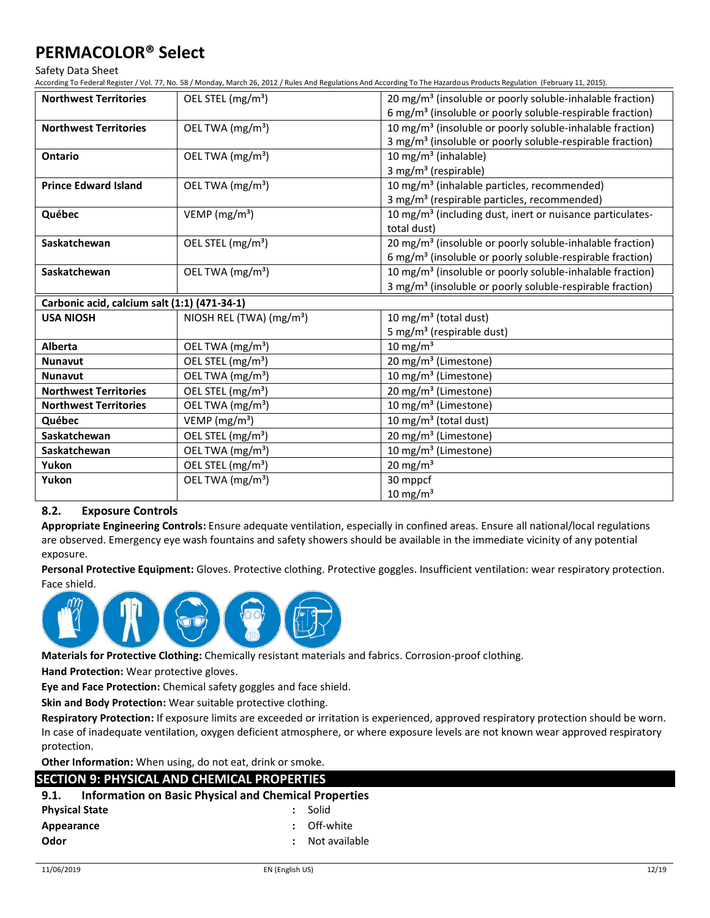Safety Data Sheet

According To Federal Register / Vol. 77, No. 58 / Monday, March 26, 2012 / Rules And Regulations And According To The Hazardous Products Regulation (February 11, 2015).

| <b>Northwest Territories</b>                 | OEL STEL (mg/m <sup>3</sup> )        | 20 mg/m <sup>3</sup> (insoluble or poorly soluble-inhalable fraction) |
|----------------------------------------------|--------------------------------------|-----------------------------------------------------------------------|
|                                              |                                      | 6 mg/m <sup>3</sup> (insoluble or poorly soluble-respirable fraction) |
| <b>Northwest Territories</b>                 | OEL TWA (mg/m <sup>3</sup> )         | 10 mg/m <sup>3</sup> (insoluble or poorly soluble-inhalable fraction) |
|                                              |                                      | 3 mg/m <sup>3</sup> (insoluble or poorly soluble-respirable fraction) |
| Ontario                                      | OEL TWA $(mg/m3)$                    | 10 mg/m <sup>3</sup> (inhalable)                                      |
|                                              |                                      | 3 mg/m <sup>3</sup> (respirable)                                      |
| <b>Prince Edward Island</b>                  | OEL TWA (mg/m <sup>3</sup> )         | 10 mg/m <sup>3</sup> (inhalable particles, recommended)               |
|                                              |                                      | 3 mg/m <sup>3</sup> (respirable particles, recommended)               |
| Québec                                       | VEMP ( $mg/m3$ )                     | 10 mg/m <sup>3</sup> (including dust, inert or nuisance particulates- |
|                                              |                                      | total dust)                                                           |
| Saskatchewan                                 | OEL STEL (mg/m <sup>3</sup> )        | 20 mg/m <sup>3</sup> (insoluble or poorly soluble-inhalable fraction) |
|                                              |                                      | 6 mg/m <sup>3</sup> (insoluble or poorly soluble-respirable fraction) |
| Saskatchewan                                 | OEL TWA (mg/m <sup>3</sup> )         | 10 mg/m <sup>3</sup> (insoluble or poorly soluble-inhalable fraction) |
|                                              |                                      | 3 mg/m <sup>3</sup> (insoluble or poorly soluble-respirable fraction) |
| Carbonic acid, calcium salt (1:1) (471-34-1) |                                      |                                                                       |
| <b>USA NIOSH</b>                             | NIOSH REL (TWA) (mg/m <sup>3</sup> ) | 10 mg/m <sup>3</sup> (total dust)                                     |
|                                              |                                      | 5 mg/m <sup>3</sup> (respirable dust)                                 |
| <b>Alberta</b>                               | OEL TWA (mg/m <sup>3</sup> )         | 10 mg/m $3$                                                           |
| <b>Nunavut</b>                               | OEL STEL (mg/m <sup>3</sup> )        | 20 mg/m <sup>3</sup> (Limestone)                                      |
| <b>Nunavut</b>                               | OEL TWA (mg/m <sup>3</sup> )         | 10 mg/m <sup>3</sup> (Limestone)                                      |
| <b>Northwest Territories</b>                 | OEL STEL (mg/m <sup>3</sup> )        | 20 mg/m <sup>3</sup> (Limestone)                                      |
| <b>Northwest Territories</b>                 | OEL TWA (mg/m <sup>3</sup> )         | 10 mg/m <sup>3</sup> (Limestone)                                      |
| Québec                                       | VEMP ( $mg/m3$ )                     | 10 mg/m <sup>3</sup> (total dust)                                     |
| Saskatchewan                                 | OEL STEL (mg/m <sup>3</sup> )        | 20 mg/m <sup>3</sup> (Limestone)                                      |
| Saskatchewan                                 | OEL TWA (mg/m <sup>3</sup> )         | 10 mg/m <sup>3</sup> (Limestone)                                      |
| Yukon                                        | OEL STEL (mg/m <sup>3</sup> )        | 20 mg/m $3$                                                           |
| Yukon                                        | OEL TWA (mg/m <sup>3</sup> )         | 30 mppcf                                                              |
|                                              |                                      | $10 \text{ mg/m}^3$                                                   |

### **8.2. Exposure Controls**

**Appropriate Engineering Controls:** Ensure adequate ventilation, especially in confined areas. Ensure all national/local regulations are observed. Emergency eye wash fountains and safety showers should be available in the immediate vicinity of any potential exposure.

**Personal Protective Equipment:** Gloves. Protective clothing. Protective goggles. Insufficient ventilation: wear respiratory protection. Face shield.



**Materials for Protective Clothing:** Chemically resistant materials and fabrics. Corrosion-proof clothing.

**Hand Protection:** Wear protective gloves.

**Eye and Face Protection:** Chemical safety goggles and face shield.

**Skin and Body Protection:** Wear suitable protective clothing.

**Respiratory Protection:** If exposure limits are exceeded or irritation is experienced, approved respiratory protection should be worn. In case of inadequate ventilation, oxygen deficient atmosphere, or where exposure levels are not known wear approved respiratory protection.

**Other Information:** When using, do not eat, drink or smoke.

## **SECTION 9: PHYSICAL AND CHEMICAL PROPERTIES**

| 9.1.                  | <b>Information on Basic Physical and Chemical Properties</b> |               |
|-----------------------|--------------------------------------------------------------|---------------|
| <b>Physical State</b> |                                                              | Solid         |
| Appearance            |                                                              | Off-white     |
| Odor                  |                                                              | Not available |
|                       |                                                              |               |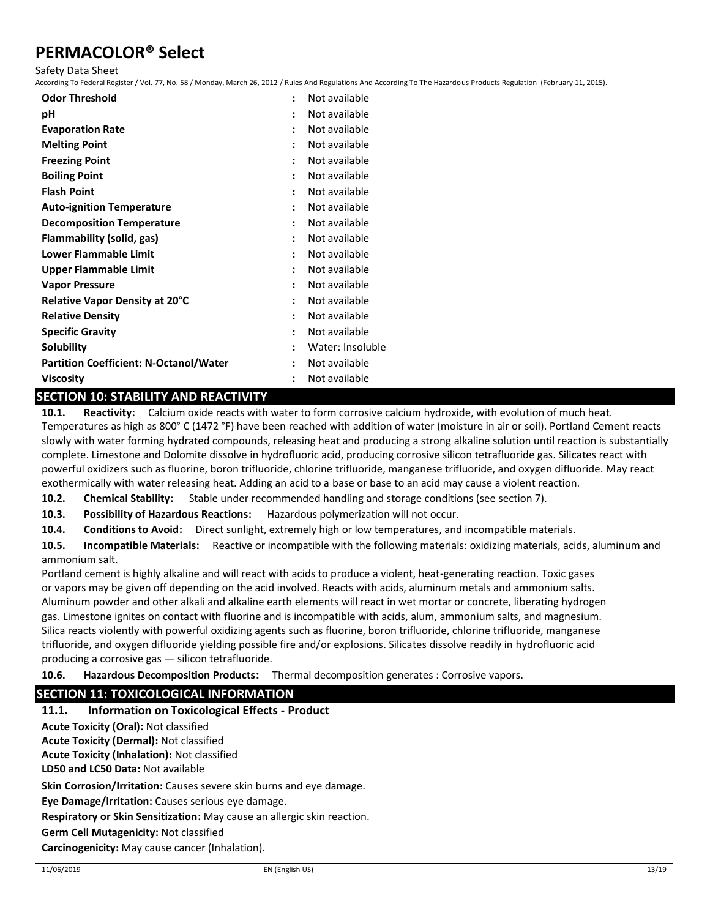Safety Data Sheet

According To Federal Register / Vol. 77, No. 58 / Monday, March 26, 2012 / Rules And Regulations And According To The Hazardous Products Regulation (February 11, 2015).

| <b>Odor Threshold</b>                         | $\ddot{\phantom{a}}$ | Not available    |
|-----------------------------------------------|----------------------|------------------|
| рH                                            | $\ddot{\phantom{a}}$ | Not available    |
| <b>Evaporation Rate</b>                       |                      | Not available    |
| <b>Melting Point</b>                          |                      | Not available    |
| <b>Freezing Point</b>                         |                      | Not available    |
| <b>Boiling Point</b>                          |                      | Not available    |
| <b>Flash Point</b>                            | $\ddot{\phantom{a}}$ | Not available    |
| <b>Auto-ignition Temperature</b>              | ÷                    | Not available    |
| <b>Decomposition Temperature</b>              | ÷                    | Not available    |
| Flammability (solid, gas)                     | $\ddot{\cdot}$       | Not available    |
| Lower Flammable Limit                         | $\ddot{\cdot}$       | Not available    |
| <b>Upper Flammable Limit</b>                  | $\ddot{\cdot}$       | Not available    |
| <b>Vapor Pressure</b>                         |                      | Not available    |
| <b>Relative Vapor Density at 20°C</b>         |                      | Not available    |
| <b>Relative Density</b>                       | $\ddot{\cdot}$       | Not available    |
| <b>Specific Gravity</b>                       |                      | Not available    |
| Solubility                                    |                      | Water: Insoluble |
| <b>Partition Coefficient: N-Octanol/Water</b> |                      | Not available    |
| Viscositv                                     | $\ddot{\phantom{a}}$ | Not available    |

## **SECTION 10: STABILITY AND REACTIVITY**

**10.1. Reactivity:** Calcium oxide reacts with water to form corrosive calcium hydroxide, with evolution of much heat. Temperatures as high as 800° C (1472 °F) have been reached with addition of water (moisture in air or soil). Portland Cement reacts slowly with water forming hydrated compounds, releasing heat and producing a strong alkaline solution until reaction is substantially complete. Limestone and Dolomite dissolve in hydrofluoric acid, producing corrosive silicon tetrafluoride gas. Silicates react with powerful oxidizers such as fluorine, boron trifluoride, chlorine trifluoride, manganese trifluoride, and oxygen difluoride. May react exothermically with water releasing heat. Adding an acid to a base or base to an acid may cause a violent reaction.

**10.2. Chemical Stability:** Stable under recommended handling and storage conditions (see section 7).

**10.3. Possibility of Hazardous Reactions:** Hazardous polymerization will not occur.

**10.4. Conditions to Avoid:** Direct sunlight, extremely high or low temperatures, and incompatible materials.

**10.5. Incompatible Materials:** Reactive or incompatible with the following materials: oxidizing materials, acids, aluminum and ammonium salt.

Portland cement is highly alkaline and will react with acids to produce a violent, heat-generating reaction. Toxic gases or vapors may be given off depending on the acid involved. Reacts with acids, aluminum metals and ammonium salts. Aluminum powder and other alkali and alkaline earth elements will react in wet mortar or concrete, liberating hydrogen gas. Limestone ignites on contact with fluorine and is incompatible with acids, alum, ammonium salts, and magnesium. Silica reacts violently with powerful oxidizing agents such as fluorine, boron trifluoride, chlorine trifluoride, manganese trifluoride, and oxygen difluoride yielding possible fire and/or explosions. Silicates dissolve readily in hydrofluoric acid producing a corrosive gas — silicon tetrafluoride.

**10.6. Hazardous Decomposition Products:** Thermal decomposition generates : Corrosive vapors.

## **SECTION 11: TOXICOLOGICAL INFORMATION**

### **11.1. Information on Toxicological Effects - Product**

**Acute Toxicity (Oral):** Not classified

**Acute Toxicity (Dermal):** Not classified

**Acute Toxicity (Inhalation):** Not classified

**LD50 and LC50 Data:** Not available

**Skin Corrosion/Irritation:** Causes severe skin burns and eye damage.

**Eye Damage/Irritation:** Causes serious eye damage.

**Respiratory or Skin Sensitization:** May cause an allergic skin reaction.

**Germ Cell Mutagenicity:** Not classified

**Carcinogenicity:** May cause cancer (Inhalation).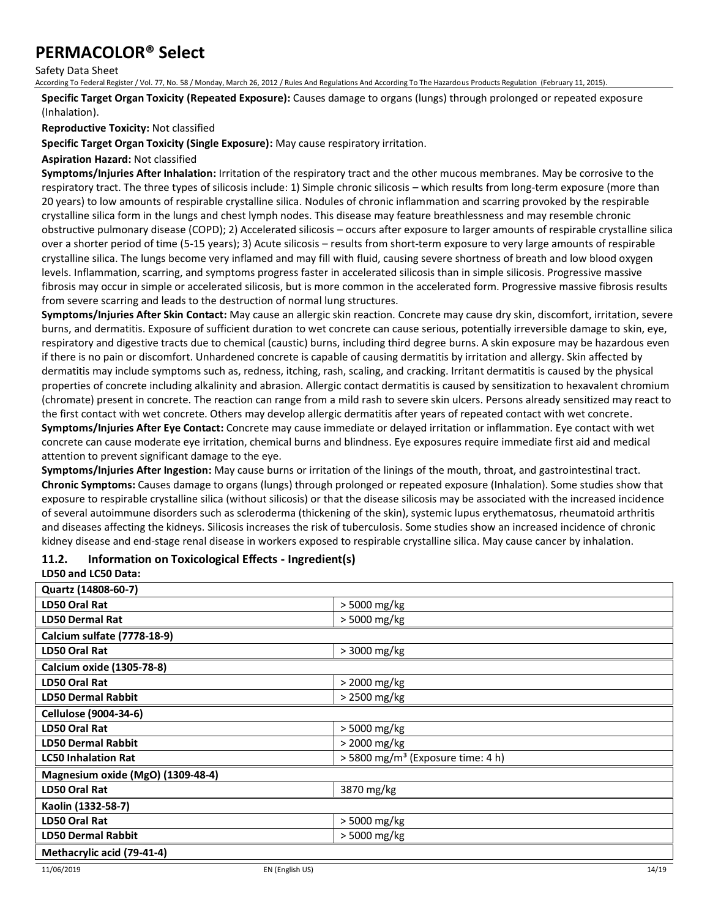Safety Data Sheet

According To Federal Register / Vol. 77, No. 58 / Monday, March 26, 2012 / Rules And Regulations And According To The Hazardous Products Regulation (February 11, 2015).

**Specific Target Organ Toxicity (Repeated Exposure):** Causes damage to organs (lungs) through prolonged or repeated exposure (Inhalation).

**Reproductive Toxicity:** Not classified

**Specific Target Organ Toxicity (Single Exposure):** May cause respiratory irritation.

**Aspiration Hazard:** Not classified

**Symptoms/Injuries After Inhalation:** Irritation of the respiratory tract and the other mucous membranes. May be corrosive to the respiratory tract. The three types of silicosis include: 1) Simple chronic silicosis – which results from long-term exposure (more than 20 years) to low amounts of respirable crystalline silica. Nodules of chronic inflammation and scarring provoked by the respirable crystalline silica form in the lungs and chest lymph nodes. This disease may feature breathlessness and may resemble chronic obstructive pulmonary disease (COPD); 2) Accelerated silicosis – occurs after exposure to larger amounts of respirable crystalline silica over a shorter period of time (5-15 years); 3) Acute silicosis – results from short-term exposure to very large amounts of respirable crystalline silica. The lungs become very inflamed and may fill with fluid, causing severe shortness of breath and low blood oxygen levels. Inflammation, scarring, and symptoms progress faster in accelerated silicosis than in simple silicosis. Progressive massive fibrosis may occur in simple or accelerated silicosis, but is more common in the accelerated form. Progressive massive fibrosis results from severe scarring and leads to the destruction of normal lung structures.

**Symptoms/Injuries After Skin Contact:** May cause an allergic skin reaction. Concrete may cause dry skin, discomfort, irritation, severe burns, and dermatitis. Exposure of sufficient duration to wet concrete can cause serious, potentially irreversible damage to skin, eye, respiratory and digestive tracts due to chemical (caustic) burns, including third degree burns. A skin exposure may be hazardous even if there is no pain or discomfort. Unhardened concrete is capable of causing dermatitis by irritation and allergy. Skin affected by dermatitis may include symptoms such as, redness, itching, rash, scaling, and cracking. Irritant dermatitis is caused by the physical properties of concrete including alkalinity and abrasion. Allergic contact dermatitis is caused by sensitization to hexavalent chromium (chromate) present in concrete. The reaction can range from a mild rash to severe skin ulcers. Persons already sensitized may react to the first contact with wet concrete. Others may develop allergic dermatitis after years of repeated contact with wet concrete.

**Symptoms/Injuries After Eye Contact:** Concrete may cause immediate or delayed irritation or inflammation. Eye contact with wet concrete can cause moderate eye irritation, chemical burns and blindness. Eye exposures require immediate first aid and medical attention to prevent significant damage to the eye.

**Symptoms/Injuries After Ingestion:** May cause burns or irritation of the linings of the mouth, throat, and gastrointestinal tract. **Chronic Symptoms:** Causes damage to organs (lungs) through prolonged or repeated exposure (Inhalation). Some studies show that exposure to respirable crystalline silica (without silicosis) or that the disease silicosis may be associated with the increased incidence of several autoimmune disorders such as scleroderma (thickening of the skin), systemic lupus erythematosus, rheumatoid arthritis and diseases affecting the kidneys. Silicosis increases the risk of tuberculosis. Some studies show an increased incidence of chronic kidney disease and end-stage renal disease in workers exposed to respirable crystalline silica. May cause cancer by inhalation.

### **11.2. Information on Toxicological Effects - Ingredient(s)**

**LD50 and LC50 Data:**

| Quartz (14808-60-7)               |                                               |
|-----------------------------------|-----------------------------------------------|
| <b>LD50 Oral Rat</b>              | > 5000 mg/kg                                  |
| <b>LD50 Dermal Rat</b>            | > 5000 mg/kg                                  |
| Calcium sulfate (7778-18-9)       |                                               |
| LD50 Oral Rat                     | > 3000 mg/kg                                  |
| Calcium oxide (1305-78-8)         |                                               |
| <b>LD50 Oral Rat</b>              | > 2000 mg/kg                                  |
| <b>LD50 Dermal Rabbit</b>         | > 2500 mg/kg                                  |
| Cellulose (9004-34-6)             |                                               |
| <b>LD50 Oral Rat</b>              | > 5000 mg/kg                                  |
| <b>LD50 Dermal Rabbit</b>         | > 2000 mg/kg                                  |
| <b>LC50 Inhalation Rat</b>        | > 5800 mg/m <sup>3</sup> (Exposure time: 4 h) |
| Magnesium oxide (MgO) (1309-48-4) |                                               |
| <b>LD50 Oral Rat</b>              | 3870 mg/kg                                    |
| Kaolin (1332-58-7)                |                                               |
| <b>LD50 Oral Rat</b>              | > 5000 mg/kg                                  |
| <b>LD50 Dermal Rabbit</b>         | > 5000 mg/kg                                  |
| Methacrylic acid (79-41-4)        |                                               |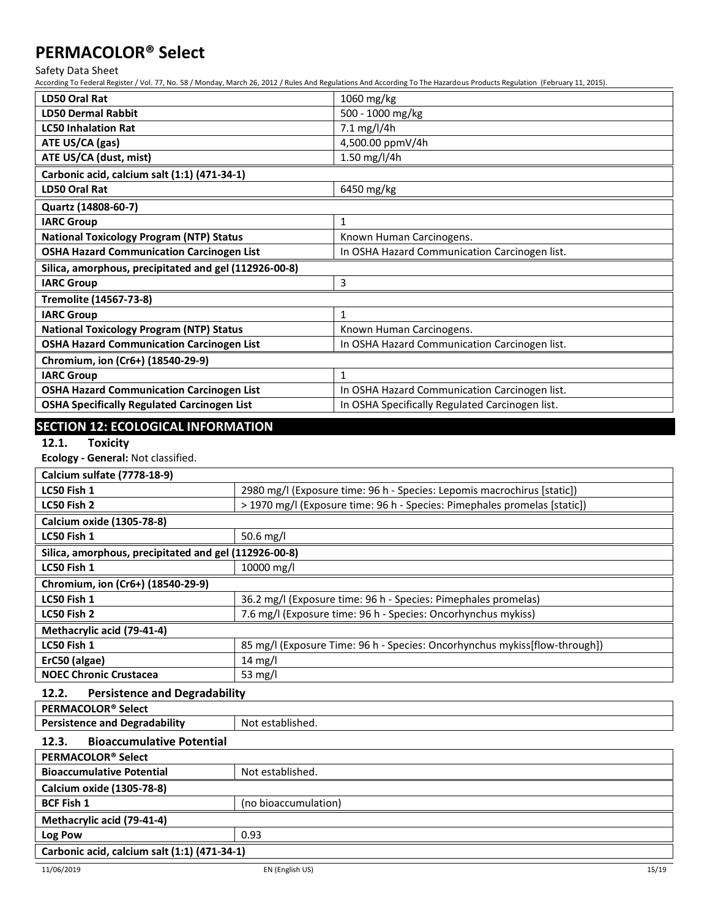Safety Data Sheet

According To Federal Register / Vol. 77, No. 58 / Monday, March 26, 2012 / Rules And Regulations And According To The Hazardous Products Regulation (February 11, 2015).

| <b>LD50 Oral Rat</b>                                  | 1060 mg/kg                                      |  |
|-------------------------------------------------------|-------------------------------------------------|--|
| <b>LD50 Dermal Rabbit</b>                             | 500 - 1000 mg/kg                                |  |
| <b>LC50 Inhalation Rat</b>                            | 7.1 mg/l/4h                                     |  |
|                                                       |                                                 |  |
| ATE US/CA (gas)                                       | 4,500.00 ppmV/4h                                |  |
| ATE US/CA (dust, mist)                                | 1.50 mg/l/4h                                    |  |
| Carbonic acid, calcium salt (1:1) (471-34-1)          |                                                 |  |
| <b>LD50 Oral Rat</b>                                  | 6450 mg/kg                                      |  |
| Quartz (14808-60-7)                                   |                                                 |  |
| <b>IARC Group</b>                                     | $\mathbf{1}$                                    |  |
| <b>National Toxicology Program (NTP) Status</b>       | Known Human Carcinogens.                        |  |
| <b>OSHA Hazard Communication Carcinogen List</b>      | In OSHA Hazard Communication Carcinogen list.   |  |
| Silica, amorphous, precipitated and gel (112926-00-8) |                                                 |  |
| <b>IARC Group</b>                                     | 3                                               |  |
| Tremolite (14567-73-8)                                |                                                 |  |
| <b>IARC Group</b>                                     | $\mathbf{1}$                                    |  |
| <b>National Toxicology Program (NTP) Status</b>       | Known Human Carcinogens.                        |  |
| <b>OSHA Hazard Communication Carcinogen List</b>      | In OSHA Hazard Communication Carcinogen list.   |  |
| Chromium, ion (Cr6+) (18540-29-9)                     |                                                 |  |
| <b>IARC Group</b>                                     | $\mathbf{1}$                                    |  |
| <b>OSHA Hazard Communication Carcinogen List</b>      | In OSHA Hazard Communication Carcinogen list.   |  |
| <b>OSHA Specifically Regulated Carcinogen List</b>    | In OSHA Specifically Regulated Carcinogen list. |  |

## **SECTION 12: ECOLOGICAL INFORMATION**

## **12.1. Toxicity**

**Ecology - General:** Not classified.

| Calcium sulfate (7778-18-9)                           |                                                                            |  |
|-------------------------------------------------------|----------------------------------------------------------------------------|--|
| LC50 Fish 1                                           | 2980 mg/l (Exposure time: 96 h - Species: Lepomis macrochirus [static])    |  |
| LC50 Fish 2                                           | > 1970 mg/l (Exposure time: 96 h - Species: Pimephales promelas [static])  |  |
| Calcium oxide (1305-78-8)                             |                                                                            |  |
| LC50 Fish 1                                           | 50.6 mg/l                                                                  |  |
| Silica, amorphous, precipitated and gel (112926-00-8) |                                                                            |  |
| LC50 Fish 1                                           | 10000 mg/l                                                                 |  |
| Chromium, ion (Cr6+) (18540-29-9)                     |                                                                            |  |
| LC50 Fish 1                                           | 36.2 mg/l (Exposure time: 96 h - Species: Pimephales promelas)             |  |
| LC50 Fish 2                                           | 7.6 mg/l (Exposure time: 96 h - Species: Oncorhynchus mykiss)              |  |
| Methacrylic acid (79-41-4)                            |                                                                            |  |
| LC50 Fish 1                                           | 85 mg/l (Exposure Time: 96 h - Species: Oncorhynchus mykiss[flow-through]) |  |
| ErC50 (algae)                                         | $14 \text{ mg/l}$                                                          |  |
| <b>NOEC Chronic Crustacea</b>                         | 53 $mg/l$                                                                  |  |
| <b>Persistence and Degradability</b><br>12.2.         |                                                                            |  |
| PERMACOLOR <sup>®</sup> Select                        |                                                                            |  |
| <b>Persistence and Degradability</b>                  | Not established.                                                           |  |
| <b>Bioaccumulative Potential</b><br>12.3.             |                                                                            |  |
| PERMACOLOR <sup>®</sup> Select                        |                                                                            |  |
| <b>Bioaccumulative Potential</b><br>Not established.  |                                                                            |  |
| Calcium oxide (1305-78-8)                             |                                                                            |  |
| <b>BCF Fish 1</b><br>(no bioaccumulation)             |                                                                            |  |
| Methacrylic acid (79-41-4)                            |                                                                            |  |
| Log Pow                                               | 0.93                                                                       |  |
| Carbonic acid, calcium salt (1:1) (471-34-1)          |                                                                            |  |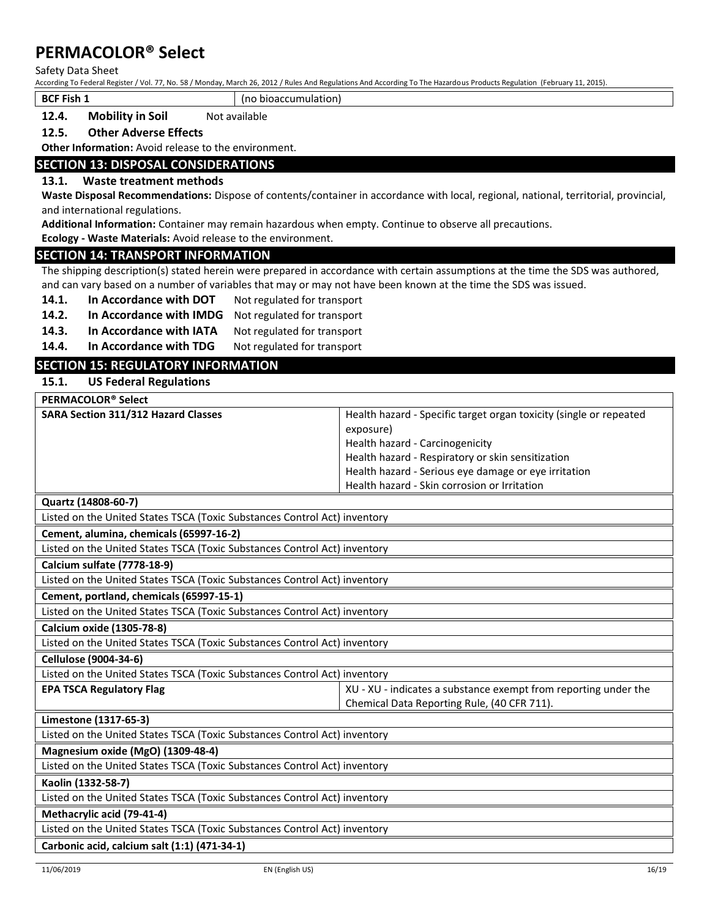Safety Data Sheet

According To Federal Register / Vol. 77, No. 58 / Monday, March 26, 2012 / Rules And Regulations And According To The Hazardous Products Regulation (February 11, 2015).

**BCF Fish 1** (no bioaccumulation)

**12.4.** Mobility in Soil Not available

#### **12.5. Other Adverse Effects**

**Other Information:** Avoid release to the environment.

### **SECTION 13: DISPOSAL CONSIDERATIONS**

#### **13.1. Waste treatment methods**

**Waste Disposal Recommendations:** Dispose of contents/container in accordance with local, regional, national, territorial, provincial, and international regulations.

**Additional Information:** Container may remain hazardous when empty. Continue to observe all precautions.

**Ecology - Waste Materials:** Avoid release to the environment.

#### **SECTION 14: TRANSPORT INFORMATION**

The shipping description(s) stated herein were prepared in accordance with certain assumptions at the time the SDS was authored, and can vary based on a number of variables that may or may not have been known at the time the SDS was issued.

14.1. In Accordance with DOT Not regulated for transport

**14.2. In Accordance with IMDG** Not regulated for transport

14.3. In Accordance with IATA Not regulated for transport

14.4. In Accordance with TDG Not regulated for transport

## **SECTION 15: REGULATORY INFORMATION**

### **15.1. US Federal Regulations**

| PERMACOLOR <sup>®</sup> Select                                            |                                                                                                                |  |
|---------------------------------------------------------------------------|----------------------------------------------------------------------------------------------------------------|--|
| <b>SARA Section 311/312 Hazard Classes</b>                                | Health hazard - Specific target organ toxicity (single or repeated                                             |  |
|                                                                           | exposure)                                                                                                      |  |
|                                                                           | Health hazard - Carcinogenicity                                                                                |  |
|                                                                           | Health hazard - Respiratory or skin sensitization                                                              |  |
|                                                                           | Health hazard - Serious eye damage or eye irritation                                                           |  |
|                                                                           | Health hazard - Skin corrosion or Irritation                                                                   |  |
| Quartz (14808-60-7)                                                       |                                                                                                                |  |
| Listed on the United States TSCA (Toxic Substances Control Act) inventory |                                                                                                                |  |
| Cement, alumina, chemicals (65997-16-2)                                   |                                                                                                                |  |
| Listed on the United States TSCA (Toxic Substances Control Act) inventory |                                                                                                                |  |
| <b>Calcium sulfate (7778-18-9)</b>                                        |                                                                                                                |  |
| Listed on the United States TSCA (Toxic Substances Control Act) inventory |                                                                                                                |  |
| Cement, portland, chemicals (65997-15-1)                                  |                                                                                                                |  |
| Listed on the United States TSCA (Toxic Substances Control Act) inventory |                                                                                                                |  |
| <b>Calcium oxide (1305-78-8)</b>                                          |                                                                                                                |  |
| Listed on the United States TSCA (Toxic Substances Control Act) inventory |                                                                                                                |  |
| Cellulose (9004-34-6)                                                     |                                                                                                                |  |
| Listed on the United States TSCA (Toxic Substances Control Act) inventory |                                                                                                                |  |
| <b>EPA TSCA Regulatory Flag</b>                                           | XU - XU - indicates a substance exempt from reporting under the<br>Chemical Data Reporting Rule, (40 CFR 711). |  |
| Limestone (1317-65-3)                                                     |                                                                                                                |  |
| Listed on the United States TSCA (Toxic Substances Control Act) inventory |                                                                                                                |  |
| Magnesium oxide (MgO) (1309-48-4)                                         |                                                                                                                |  |
| Listed on the United States TSCA (Toxic Substances Control Act) inventory |                                                                                                                |  |
| Kaolin (1332-58-7)                                                        |                                                                                                                |  |
| Listed on the United States TSCA (Toxic Substances Control Act) inventory |                                                                                                                |  |
| Methacrylic acid (79-41-4)                                                |                                                                                                                |  |
| Listed on the United States TSCA (Toxic Substances Control Act) inventory |                                                                                                                |  |
| Carbonic acid, calcium salt (1:1) (471-34-1)                              |                                                                                                                |  |
|                                                                           |                                                                                                                |  |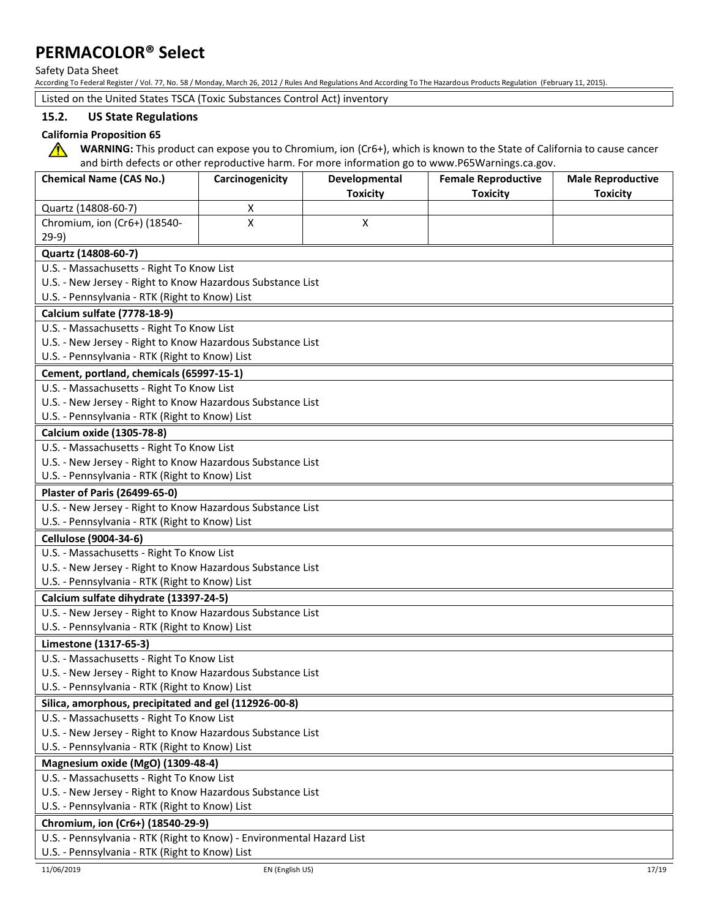Safety Data Sheet

According To Federal Register / Vol. 77, No. 58 / Monday, March 26, 2012 / Rules And Regulations And According To The Hazardous Products Regulation (February 11, 2015).

Listed on the United States TSCA (Toxic Substances Control Act) inventory

## **15.2. US State Regulations**

### **California Proposition 65**

**WARNING:** This product can expose you to Chromium, ion (Cr6+), which is known to the State of California to cause cancer  $\sqrt{N}$ and birth defects or other reproductive harm. For more information go to www.P65Warnings.ca.gov.

| <b>Chemical Name (CAS No.)</b>                             | Carcinogenicity                                                       | Developmental   | and birth defects or other reproductive harm. For more imormation go to www.Po5warmiigs.ca.gov.<br><b>Female Reproductive</b> | <b>Male Reproductive</b> |
|------------------------------------------------------------|-----------------------------------------------------------------------|-----------------|-------------------------------------------------------------------------------------------------------------------------------|--------------------------|
|                                                            |                                                                       | <b>Toxicity</b> | <b>Toxicity</b>                                                                                                               | <b>Toxicity</b>          |
| Quartz (14808-60-7)                                        | X                                                                     |                 |                                                                                                                               |                          |
| Chromium, ion (Cr6+) (18540-                               | X                                                                     | Χ               |                                                                                                                               |                          |
| $29-9)$                                                    |                                                                       |                 |                                                                                                                               |                          |
| Quartz (14808-60-7)                                        |                                                                       |                 |                                                                                                                               |                          |
| U.S. - Massachusetts - Right To Know List                  |                                                                       |                 |                                                                                                                               |                          |
| U.S. - New Jersey - Right to Know Hazardous Substance List |                                                                       |                 |                                                                                                                               |                          |
| U.S. - Pennsylvania - RTK (Right to Know) List             |                                                                       |                 |                                                                                                                               |                          |
| Calcium sulfate (7778-18-9)                                |                                                                       |                 |                                                                                                                               |                          |
| U.S. - Massachusetts - Right To Know List                  |                                                                       |                 |                                                                                                                               |                          |
| U.S. - New Jersey - Right to Know Hazardous Substance List |                                                                       |                 |                                                                                                                               |                          |
| U.S. - Pennsylvania - RTK (Right to Know) List             |                                                                       |                 |                                                                                                                               |                          |
| Cement, portland, chemicals (65997-15-1)                   |                                                                       |                 |                                                                                                                               |                          |
| U.S. - Massachusetts - Right To Know List                  |                                                                       |                 |                                                                                                                               |                          |
| U.S. - New Jersey - Right to Know Hazardous Substance List |                                                                       |                 |                                                                                                                               |                          |
| U.S. - Pennsylvania - RTK (Right to Know) List             |                                                                       |                 |                                                                                                                               |                          |
| Calcium oxide (1305-78-8)                                  |                                                                       |                 |                                                                                                                               |                          |
| U.S. - Massachusetts - Right To Know List                  |                                                                       |                 |                                                                                                                               |                          |
| U.S. - New Jersey - Right to Know Hazardous Substance List |                                                                       |                 |                                                                                                                               |                          |
| U.S. - Pennsylvania - RTK (Right to Know) List             |                                                                       |                 |                                                                                                                               |                          |
| <b>Plaster of Paris (26499-65-0)</b>                       |                                                                       |                 |                                                                                                                               |                          |
| U.S. - New Jersey - Right to Know Hazardous Substance List |                                                                       |                 |                                                                                                                               |                          |
| U.S. - Pennsylvania - RTK (Right to Know) List             |                                                                       |                 |                                                                                                                               |                          |
| Cellulose (9004-34-6)                                      |                                                                       |                 |                                                                                                                               |                          |
| U.S. - Massachusetts - Right To Know List                  |                                                                       |                 |                                                                                                                               |                          |
| U.S. - New Jersey - Right to Know Hazardous Substance List |                                                                       |                 |                                                                                                                               |                          |
| U.S. - Pennsylvania - RTK (Right to Know) List             |                                                                       |                 |                                                                                                                               |                          |
| Calcium sulfate dihydrate (13397-24-5)                     |                                                                       |                 |                                                                                                                               |                          |
| U.S. - New Jersey - Right to Know Hazardous Substance List |                                                                       |                 |                                                                                                                               |                          |
| U.S. - Pennsylvania - RTK (Right to Know) List             |                                                                       |                 |                                                                                                                               |                          |
| Limestone (1317-65-3)                                      |                                                                       |                 |                                                                                                                               |                          |
| U.S. - Massachusetts - Right To Know List                  |                                                                       |                 |                                                                                                                               |                          |
| U.S. - New Jersey - Right to Know Hazardous Substance List |                                                                       |                 |                                                                                                                               |                          |
| U.S. - Pennsylvania - RTK (Right to Know) List             |                                                                       |                 |                                                                                                                               |                          |
| Silica, amorphous, precipitated and gel (112926-00-8)      |                                                                       |                 |                                                                                                                               |                          |
| U.S. - Massachusetts - Right To Know List                  |                                                                       |                 |                                                                                                                               |                          |
| U.S. - New Jersey - Right to Know Hazardous Substance List |                                                                       |                 |                                                                                                                               |                          |
| U.S. - Pennsylvania - RTK (Right to Know) List             |                                                                       |                 |                                                                                                                               |                          |
| Magnesium oxide (MgO) (1309-48-4)                          |                                                                       |                 |                                                                                                                               |                          |
|                                                            | U.S. - Massachusetts - Right To Know List                             |                 |                                                                                                                               |                          |
| U.S. - New Jersey - Right to Know Hazardous Substance List |                                                                       |                 |                                                                                                                               |                          |
| U.S. - Pennsylvania - RTK (Right to Know) List             |                                                                       |                 |                                                                                                                               |                          |
| Chromium, ion (Cr6+) (18540-29-9)                          |                                                                       |                 |                                                                                                                               |                          |
|                                                            | U.S. - Pennsylvania - RTK (Right to Know) - Environmental Hazard List |                 |                                                                                                                               |                          |
|                                                            | U.S. - Pennsylvania - RTK (Right to Know) List                        |                 |                                                                                                                               |                          |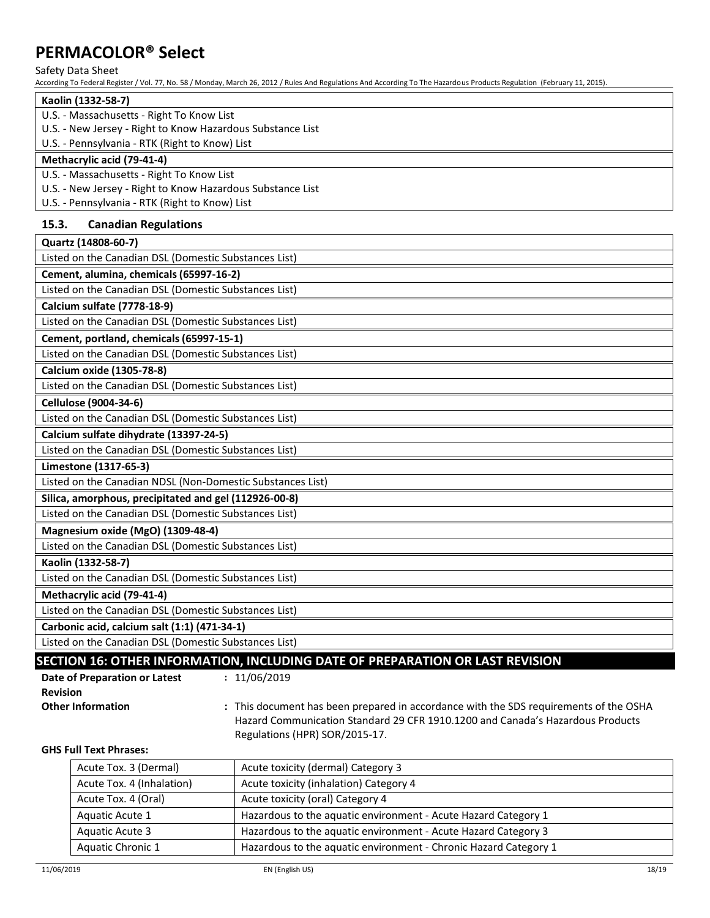### Safety Data Sheet

According To Federal Register / Vol. 77, No. 58 / Monday, March 26, 2012 / Rules And Regulations And According To The Hazardous Products Regulation (February 11, 2015).

| Kaolin (1332-58-7)                                         |
|------------------------------------------------------------|
| U.S. - Massachusetts - Right To Know List                  |
| U.S. - New Jersey - Right to Know Hazardous Substance List |
| U.S. - Pennsylvania - RTK (Right to Know) List             |
| Methacrylic acid (79-41-4)                                 |
| U.S. - Massachusetts - Right To Know List                  |
| U.S. - New Jersey - Right to Know Hazardous Substance List |
| U.S. - Pennsylvania - RTK (Right to Know) List             |
|                                                            |

## **15.3. Canadian Regulations**

| Quartz (14808-60-7)                                                                                                                                                                                                                                                                                                                                                                                                                                                                                                                                                                                                       |
|---------------------------------------------------------------------------------------------------------------------------------------------------------------------------------------------------------------------------------------------------------------------------------------------------------------------------------------------------------------------------------------------------------------------------------------------------------------------------------------------------------------------------------------------------------------------------------------------------------------------------|
| Listed on the Canadian DSL (Domestic Substances List)                                                                                                                                                                                                                                                                                                                                                                                                                                                                                                                                                                     |
| Cement, alumina, chemicals (65997-16-2)                                                                                                                                                                                                                                                                                                                                                                                                                                                                                                                                                                                   |
| Listed on the Canadian DSL (Domestic Substances List)                                                                                                                                                                                                                                                                                                                                                                                                                                                                                                                                                                     |
| Calcium sulfate (7778-18-9)                                                                                                                                                                                                                                                                                                                                                                                                                                                                                                                                                                                               |
| Listed on the Canadian DSL (Domestic Substances List)                                                                                                                                                                                                                                                                                                                                                                                                                                                                                                                                                                     |
| Cement, portland, chemicals (65997-15-1)                                                                                                                                                                                                                                                                                                                                                                                                                                                                                                                                                                                  |
| Listed on the Canadian DSL (Domestic Substances List)                                                                                                                                                                                                                                                                                                                                                                                                                                                                                                                                                                     |
| Calcium oxide (1305-78-8)                                                                                                                                                                                                                                                                                                                                                                                                                                                                                                                                                                                                 |
| Listed on the Canadian DSL (Domestic Substances List)                                                                                                                                                                                                                                                                                                                                                                                                                                                                                                                                                                     |
| Cellulose (9004-34-6)                                                                                                                                                                                                                                                                                                                                                                                                                                                                                                                                                                                                     |
| Listed on the Canadian DSL (Domestic Substances List)                                                                                                                                                                                                                                                                                                                                                                                                                                                                                                                                                                     |
| Calcium sulfate dihydrate (13397-24-5)                                                                                                                                                                                                                                                                                                                                                                                                                                                                                                                                                                                    |
| Listed on the Canadian DSL (Domestic Substances List)                                                                                                                                                                                                                                                                                                                                                                                                                                                                                                                                                                     |
| Limestone (1317-65-3)                                                                                                                                                                                                                                                                                                                                                                                                                                                                                                                                                                                                     |
| Listed on the Canadian NDSL (Non-Domestic Substances List)                                                                                                                                                                                                                                                                                                                                                                                                                                                                                                                                                                |
| Silica, amorphous, precipitated and gel (112926-00-8)                                                                                                                                                                                                                                                                                                                                                                                                                                                                                                                                                                     |
| Listed on the Canadian DSL (Domestic Substances List)                                                                                                                                                                                                                                                                                                                                                                                                                                                                                                                                                                     |
| Magnesium oxide (MgO) (1309-48-4)                                                                                                                                                                                                                                                                                                                                                                                                                                                                                                                                                                                         |
| Listed on the Canadian DSL (Domestic Substances List)                                                                                                                                                                                                                                                                                                                                                                                                                                                                                                                                                                     |
| Kaolin (1332-58-7)                                                                                                                                                                                                                                                                                                                                                                                                                                                                                                                                                                                                        |
| Listed on the Canadian DSL (Domestic Substances List)                                                                                                                                                                                                                                                                                                                                                                                                                                                                                                                                                                     |
| Methacrylic acid (79-41-4)                                                                                                                                                                                                                                                                                                                                                                                                                                                                                                                                                                                                |
| Listed on the Canadian DSL (Domestic Substances List)                                                                                                                                                                                                                                                                                                                                                                                                                                                                                                                                                                     |
| Carbonic acid, calcium salt (1:1) (471-34-1)                                                                                                                                                                                                                                                                                                                                                                                                                                                                                                                                                                              |
| Listed on the Canadian DSL (Domestic Substances List)<br>$F \left( \frac{1}{2} \right) \left( \frac{1}{2} \right) \left( \frac{1}{2} \right) \left( \frac{1}{2} \right) \left( \frac{1}{2} \right) \left( \frac{1}{2} \right) \left( \frac{1}{2} \right) \left( \frac{1}{2} \right) \left( \frac{1}{2} \right) \left( \frac{1}{2} \right) \left( \frac{1}{2} \right) \left( \frac{1}{2} \right) \left( \frac{1}{2} \right) \left( \frac{1}{2} \right) \left( \frac{1}{2} \right) \left( \frac{1}{2} \right) \left( \frac{1}{2} \$<br><b>BELUGIAN</b><br>$\mathbf{A} = \mathbf{A} \mathbf{A} + \mathbf{B}$<br>$\mathbf{A}$ |

### **SECTION 16: OTHER INFORMATION, INCLUDING DATE OF PREPARATION OR LAST REVISION**

| Date of Preparation or Latest | : 11/06/2019      |
|-------------------------------|-------------------|
| <b>Revision</b>               |                   |
| <b>Other Information</b>      | : This document I |

has been prepared in accordance with the SDS requirements of the OSHA Hazard Communication Standard 29 CFR 1910.1200 and Canada's Hazardous Products Regulations (HPR) SOR/2015-17.

#### **GHS Full Text Phrases:**

| Acute Tox. 3 (Dermal)     | Acute toxicity (dermal) Category 3                               |
|---------------------------|------------------------------------------------------------------|
| Acute Tox. 4 (Inhalation) | Acute toxicity (inhalation) Category 4                           |
| Acute Tox. 4 (Oral)       | Acute toxicity (oral) Category 4                                 |
| Aquatic Acute 1           | Hazardous to the aquatic environment - Acute Hazard Category 1   |
| Aquatic Acute 3           | Hazardous to the aquatic environment - Acute Hazard Category 3   |
| Aquatic Chronic 1         | Hazardous to the aquatic environment - Chronic Hazard Category 1 |